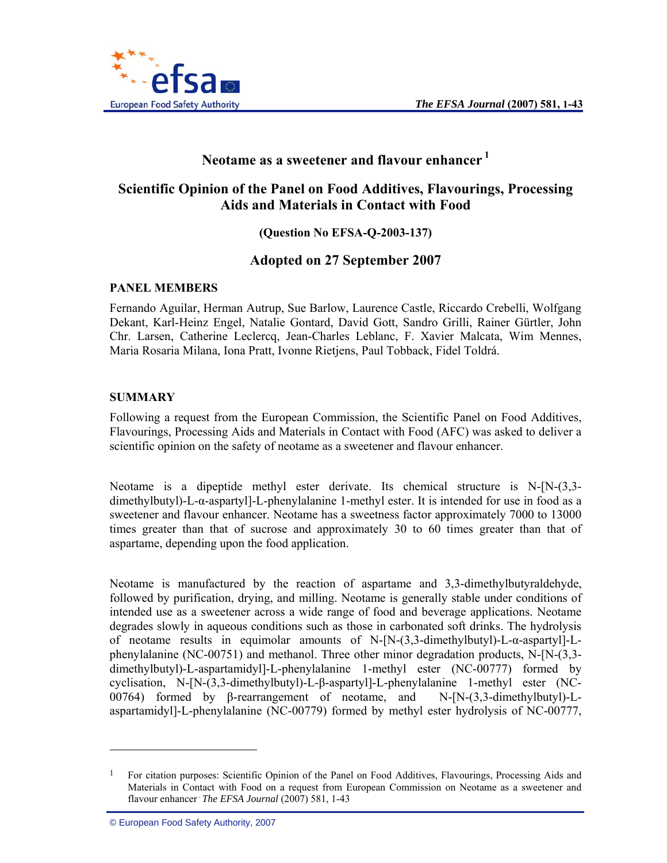

# **Neotame as a sweetener and flavour enhancer 1**

# **Scientific Opinion of the Panel on Food Additives, Flavourings, Processing Aids and Materials in Contact with Food**

**(Question No EFSA-Q-2003-137)** 

# **Adopted on 27 September 2007**

### **PANEL MEMBERS**

Fernando Aguilar, Herman Autrup, Sue Barlow, Laurence Castle, Riccardo Crebelli, Wolfgang Dekant, Karl-Heinz Engel, Natalie Gontard, David Gott, Sandro Grilli, Rainer Gürtler, John Chr. Larsen, Catherine Leclercq, Jean-Charles Leblanc, F. Xavier Malcata, Wim Mennes, Maria Rosaria Milana, Iona Pratt, Ivonne Rietjens, Paul Tobback, Fidel Toldrá.

### **SUMMARY**

Following a request from the European Commission, the Scientific Panel on Food Additives, Flavourings, Processing Aids and Materials in Contact with Food (AFC) was asked to deliver a scientific opinion on the safety of neotame as a sweetener and flavour enhancer.

Neotame is a dipeptide methyl ester derivate. Its chemical structure is N-[N-(3,3 dimethylbutyl)-L-α-aspartyl]-L-phenylalanine 1-methyl ester. It is intended for use in food as a sweetener and flavour enhancer. Neotame has a sweetness factor approximately 7000 to 13000 times greater than that of sucrose and approximately 30 to 60 times greater than that of aspartame, depending upon the food application.

Neotame is manufactured by the reaction of aspartame and 3,3-dimethylbutyraldehyde, followed by purification, drying, and milling. Neotame is generally stable under conditions of intended use as a sweetener across a wide range of food and beverage applications. Neotame degrades slowly in aqueous conditions such as those in carbonated soft drinks. The hydrolysis of neotame results in equimolar amounts of N-[N-(3,3-dimethylbutyl)-L-α-aspartyl]-Lphenylalanine (NC-00751) and methanol. Three other minor degradation products, N-[N-(3,3 dimethylbutyl)-L-aspartamidyl]-L-phenylalanine 1-methyl ester (NC-00777) formed by cyclisation, N-[N-(3,3-dimethylbutyl)-L-β-aspartyl]-L-phenylalanine 1-methyl ester (NC-00764) formed by β-rearrangement of neotame, and N-[N-(3,3-dimethylbutyl)-Laspartamidyl]-L-phenylalanine (NC-00779) formed by methyl ester hydrolysis of NC-00777,

 $\overline{a}$ 

<sup>&</sup>lt;sup>1</sup> For citation purposes: Scientific Opinion of the Panel on Food Additives, Flavourings, Processing Aids and Materials in Contact with Food on a request from European Commission on Neotame as a sweetener and flavour enhancer The EFSA Journal (2007) 581, 1-43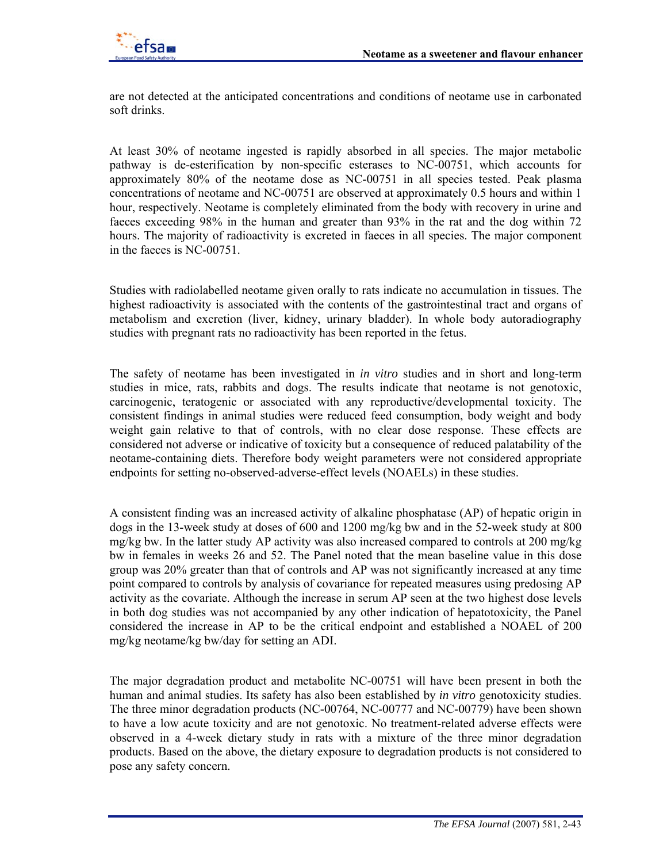

are not detected at the anticipated concentrations and conditions of neotame use in carbonated soft drinks.

At least 30% of neotame ingested is rapidly absorbed in all species. The major metabolic pathway is de-esterification by non-specific esterases to NC-00751, which accounts for approximately 80% of the neotame dose as NC-00751 in all species tested. Peak plasma concentrations of neotame and NC-00751 are observed at approximately 0.5 hours and within 1 hour, respectively. Neotame is completely eliminated from the body with recovery in urine and faeces exceeding 98% in the human and greater than 93% in the rat and the dog within 72 hours. The majority of radioactivity is excreted in faeces in all species. The major component in the faeces is NC-00751.

Studies with radiolabelled neotame given orally to rats indicate no accumulation in tissues. The highest radioactivity is associated with the contents of the gastrointestinal tract and organs of metabolism and excretion (liver, kidney, urinary bladder). In whole body autoradiography studies with pregnant rats no radioactivity has been reported in the fetus.

The safety of neotame has been investigated in *in vitro* studies and in short and long-term studies in mice, rats, rabbits and dogs. The results indicate that neotame is not genotoxic, carcinogenic, teratogenic or associated with any reproductive/developmental toxicity. The consistent findings in animal studies were reduced feed consumption, body weight and body weight gain relative to that of controls, with no clear dose response. These effects are considered not adverse or indicative of toxicity but a consequence of reduced palatability of the neotame-containing diets. Therefore body weight parameters were not considered appropriate endpoints for setting no-observed-adverse-effect levels (NOAELs) in these studies.

A consistent finding was an increased activity of alkaline phosphatase (AP) of hepatic origin in dogs in the 13-week study at doses of 600 and 1200 mg/kg bw and in the 52-week study at 800 mg/kg bw. In the latter study AP activity was also increased compared to controls at 200 mg/kg bw in females in weeks 26 and 52. The Panel noted that the mean baseline value in this dose group was 20% greater than that of controls and AP was not significantly increased at any time point compared to controls by analysis of covariance for repeated measures using predosing AP activity as the covariate. Although the increase in serum AP seen at the two highest dose levels in both dog studies was not accompanied by any other indication of hepatotoxicity, the Panel considered the increase in AP to be the critical endpoint and established a NOAEL of 200 mg/kg neotame/kg bw/day for setting an ADI.

The major degradation product and metabolite NC-00751 will have been present in both the human and animal studies. Its safety has also been established by *in vitro* genotoxicity studies. The three minor degradation products (NC-00764, NC-00777 and NC-00779) have been shown to have a low acute toxicity and are not genotoxic. No treatment-related adverse effects were observed in a 4-week dietary study in rats with a mixture of the three minor degradation products. Based on the above, the dietary exposure to degradation products is not considered to pose any safety concern.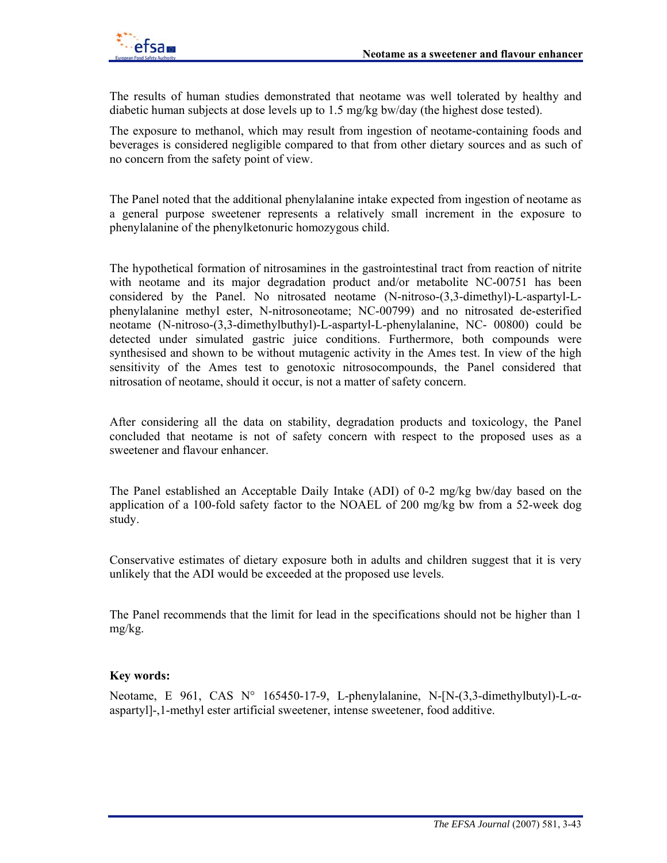

The results of human studies demonstrated that neotame was well tolerated by healthy and diabetic human subjects at dose levels up to 1.5 mg/kg bw/day (the highest dose tested).

The exposure to methanol, which may result from ingestion of neotame-containing foods and beverages is considered negligible compared to that from other dietary sources and as such of no concern from the safety point of view.

The Panel noted that the additional phenylalanine intake expected from ingestion of neotame as a general purpose sweetener represents a relatively small increment in the exposure to phenylalanine of the phenylketonuric homozygous child.

The hypothetical formation of nitrosamines in the gastrointestinal tract from reaction of nitrite with neotame and its major degradation product and/or metabolite NC-00751 has been considered by the Panel. No nitrosated neotame (N-nitroso-(3,3-dimethyl)-L-aspartyl-Lphenylalanine methyl ester, N-nitrosoneotame; NC-00799) and no nitrosated de-esterified neotame (N-nitroso-(3,3-dimethylbuthyl)-L-aspartyl-L-phenylalanine, NC- 00800) could be detected under simulated gastric juice conditions. Furthermore, both compounds were synthesised and shown to be without mutagenic activity in the Ames test. In view of the high sensitivity of the Ames test to genotoxic nitrosocompounds, the Panel considered that nitrosation of neotame, should it occur, is not a matter of safety concern.

After considering all the data on stability, degradation products and toxicology, the Panel concluded that neotame is not of safety concern with respect to the proposed uses as a sweetener and flavour enhancer.

The Panel established an Acceptable Daily Intake (ADI) of 0-2 mg/kg bw/day based on the application of a 100-fold safety factor to the NOAEL of 200 mg/kg bw from a 52-week dog study.

Conservative estimates of dietary exposure both in adults and children suggest that it is very unlikely that the ADI would be exceeded at the proposed use levels.

The Panel recommends that the limit for lead in the specifications should not be higher than 1 mg/kg.

#### **Key words:**

Neotame, E 961, CAS N° 165450-17-9, L-phenylalanine, N-[N-(3,3-dimethylbutyl)-L-αaspartyl]-,1-methyl ester artificial sweetener, intense sweetener, food additive.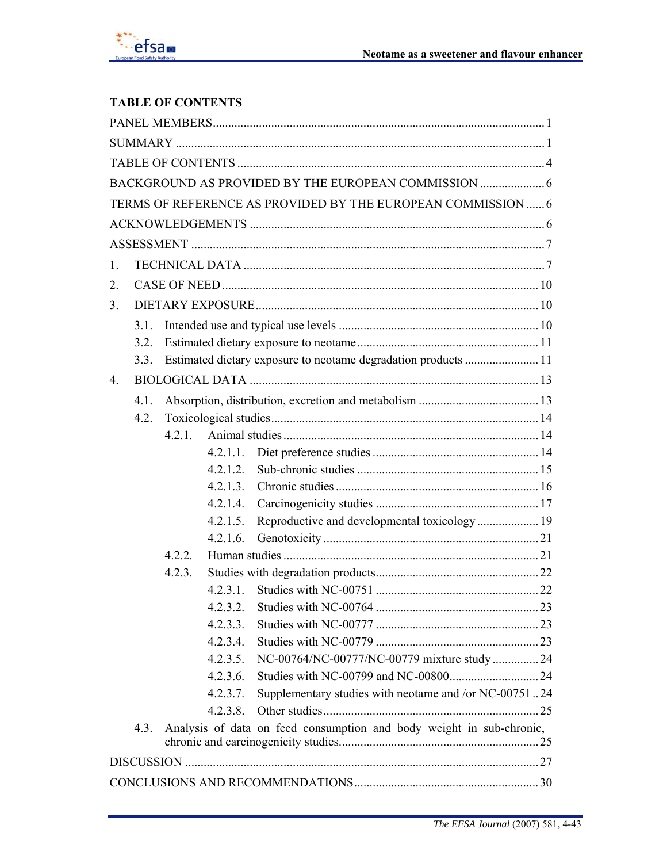# **TABLE OF CONTENTS**

|                |      |        |             | TERMS OF REFERENCE AS PROVIDED BY THE EUROPEAN COMMISSION  6         |  |  |
|----------------|------|--------|-------------|----------------------------------------------------------------------|--|--|
|                |      |        |             |                                                                      |  |  |
|                |      |        |             |                                                                      |  |  |
| 1.             |      |        |             |                                                                      |  |  |
| 2.             |      |        |             |                                                                      |  |  |
| 3 <sub>1</sub> |      |        |             |                                                                      |  |  |
|                | 3.1. |        |             |                                                                      |  |  |
|                | 3.2. |        |             |                                                                      |  |  |
|                | 3.3. |        |             | Estimated dietary exposure to neotame degradation products 11        |  |  |
| $\overline{4}$ |      |        |             |                                                                      |  |  |
|                | 4.1. |        |             |                                                                      |  |  |
|                | 4.2. |        |             |                                                                      |  |  |
|                |      | 4 2 1  |             |                                                                      |  |  |
|                |      |        | 4.2.1.1.    |                                                                      |  |  |
|                |      |        | 4.2.1.2     |                                                                      |  |  |
|                |      |        | 4.2.1.3.    |                                                                      |  |  |
|                |      |        | 4.2.1.4.    |                                                                      |  |  |
|                |      |        | 4.2.1.5.    |                                                                      |  |  |
|                |      |        | 4.2.1.6.    |                                                                      |  |  |
|                |      | 4.2.2. |             |                                                                      |  |  |
|                |      | 4.2.3. |             |                                                                      |  |  |
|                |      |        |             |                                                                      |  |  |
|                |      |        | 4.2.3.2.    |                                                                      |  |  |
|                |      |        | 4.2.3.3.    |                                                                      |  |  |
|                |      |        | 4.2.3.4.    |                                                                      |  |  |
|                |      |        | 4.2.3.5.    | NC-00764/NC-00777/NC-00779 mixture study  24                         |  |  |
|                |      |        | 4.2.3.6.    |                                                                      |  |  |
|                |      |        | 4.2.3.7.    | Supplementary studies with neotame and /or NC-0075124                |  |  |
|                |      |        | $4.2.3.8$ . |                                                                      |  |  |
|                | 4.3. |        |             | Analysis of data on feed consumption and body weight in sub-chronic, |  |  |
|                |      |        |             |                                                                      |  |  |
|                |      |        |             |                                                                      |  |  |
|                |      |        |             |                                                                      |  |  |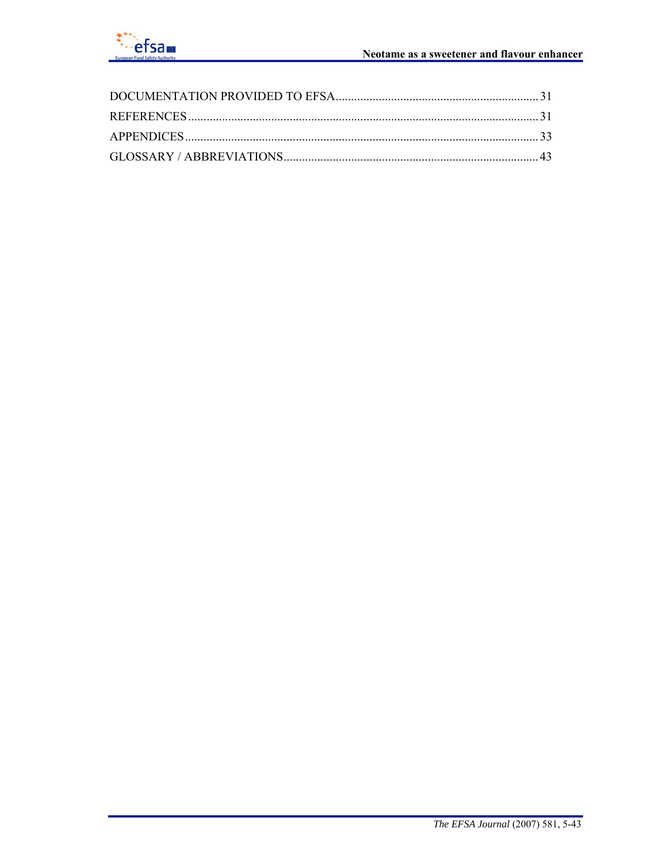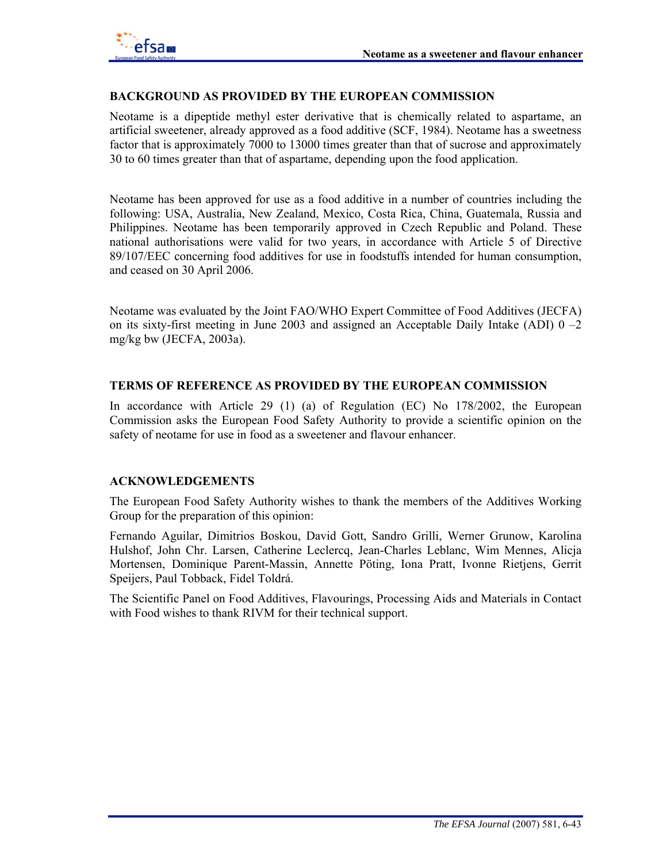

#### **BACKGROUND AS PROVIDED BY THE EUROPEAN COMMISSION**

Neotame is a dipeptide methyl ester derivative that is chemically related to aspartame, an artificial sweetener, already approved as a food additive (SCF, 1984). Neotame has a sweetness factor that is approximately 7000 to 13000 times greater than that of sucrose and approximately 30 to 60 times greater than that of aspartame, depending upon the food application.

Neotame has been approved for use as a food additive in a number of countries including the following: USA, Australia, New Zealand, Mexico, Costa Rica, China, Guatemala, Russia and Philippines. Neotame has been temporarily approved in Czech Republic and Poland. These national authorisations were valid for two years, in accordance with Article 5 of Directive 89/107/EEC concerning food additives for use in foodstuffs intended for human consumption, and ceased on 30 April 2006.

Neotame was evaluated by the Joint FAO/WHO Expert Committee of Food Additives (JECFA) on its sixty-first meeting in June 2003 and assigned an Acceptable Daily Intake (ADI) 0 –2 mg/kg bw (JECFA, 2003a).

#### **TERMS OF REFERENCE AS PROVIDED BY THE EUROPEAN COMMISSION**

In accordance with Article 29 (1) (a) of Regulation (EC) No 178/2002, the European Commission asks the European Food Safety Authority to provide a scientific opinion on the safety of neotame for use in food as a sweetener and flavour enhancer.

### **ACKNOWLEDGEMENTS**

The European Food Safety Authority wishes to thank the members of the Additives Working Group for the preparation of this opinion:

Fernando Aguilar, Dimitrios Boskou, David Gott, Sandro Grilli, Werner Grunow, Karolina Hulshof, John Chr. Larsen, Catherine Leclercq, Jean-Charles Leblanc, Wim Mennes, Alicja Mortensen, Dominique Parent-Massin, Annette Pöting, Iona Pratt, Ivonne Rietjens, Gerrit Speijers, Paul Tobback, Fidel Toldrá.

The Scientific Panel on Food Additives, Flavourings, Processing Aids and Materials in Contact with Food wishes to thank RIVM for their technical support.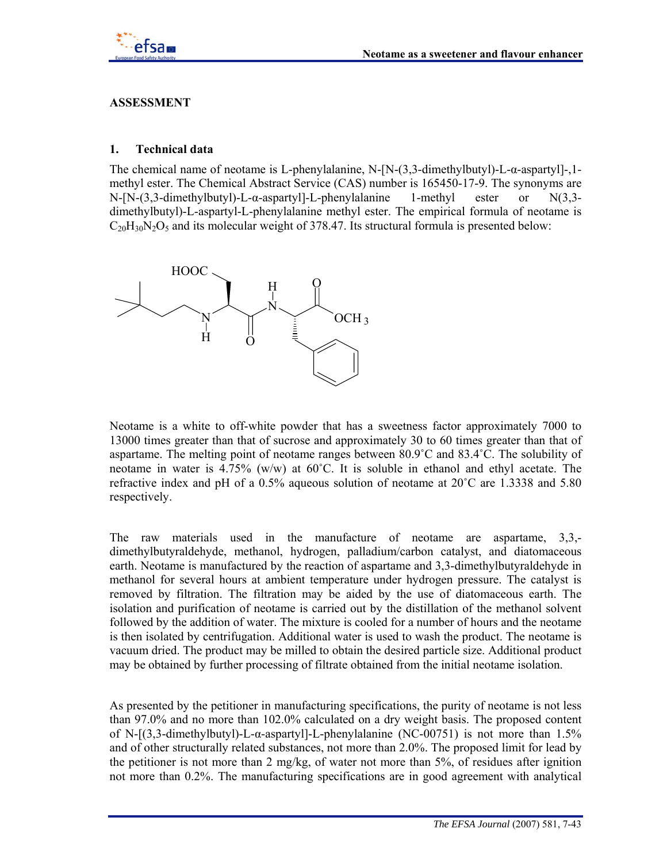

### **ASSESSMENT**

#### **1. Technical data**

The chemical name of neotame is L-phenylalanine, N-[N-(3,3-dimethylbutyl)-L-α-aspartyl]-,1 methyl ester. The Chemical Abstract Service (CAS) number is 165450-17-9. The synonyms are N-[N-(3,3-dimethylbutyl)-L-α-aspartyl]-L-phenylalanine 1-methyl ester or N(3,3 dimethylbutyl)-L-aspartyl-L-phenylalanine methyl ester. The empirical formula of neotame is  $C_{20}H_{30}N_2O_5$  and its molecular weight of 378.47. Its structural formula is presented below:



Neotame is a white to off-white powder that has a sweetness factor approximately 7000 to 13000 times greater than that of sucrose and approximately 30 to 60 times greater than that of aspartame. The melting point of neotame ranges between 80.9˚C and 83.4˚C. The solubility of neotame in water is  $4.75\%$  (w/w) at 60°C. It is soluble in ethanol and ethyl acetate. The refractive index and pH of a 0.5% aqueous solution of neotame at 20˚C are 1.3338 and 5.80 respectively.

The raw materials used in the manufacture of neotame are aspartame, 3,3, dimethylbutyraldehyde, methanol, hydrogen, palladium/carbon catalyst, and diatomaceous earth. Neotame is manufactured by the reaction of aspartame and 3,3-dimethylbutyraldehyde in methanol for several hours at ambient temperature under hydrogen pressure. The catalyst is removed by filtration. The filtration may be aided by the use of diatomaceous earth. The isolation and purification of neotame is carried out by the distillation of the methanol solvent followed by the addition of water. The mixture is cooled for a number of hours and the neotame is then isolated by centrifugation. Additional water is used to wash the product. The neotame is vacuum dried. The product may be milled to obtain the desired particle size. Additional product may be obtained by further processing of filtrate obtained from the initial neotame isolation.

As presented by the petitioner in manufacturing specifications, the purity of neotame is not less than 97.0% and no more than 102.0% calculated on a dry weight basis. The proposed content of N- $[(3,3-dimethylbutyl)-L- $\alpha$ -asparty]-L-phenylalanine (NC-00751) is not more than 1.5%$ and of other structurally related substances, not more than 2.0%. The proposed limit for lead by the petitioner is not more than 2 mg/kg, of water not more than 5%, of residues after ignition not more than 0.2%. The manufacturing specifications are in good agreement with analytical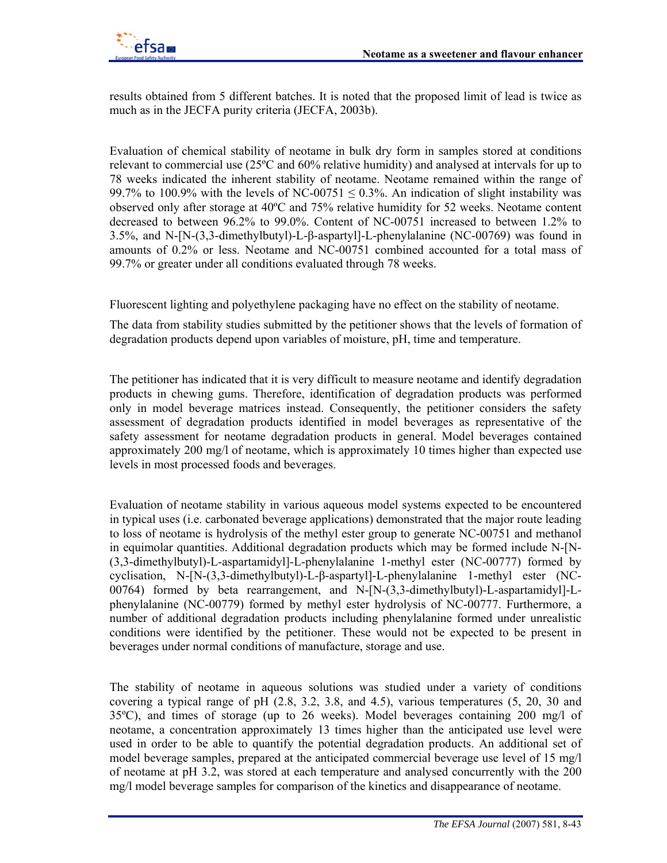

results obtained from 5 different batches. It is noted that the proposed limit of lead is twice as much as in the JECFA purity criteria (JECFA, 2003b).

Evaluation of chemical stability of neotame in bulk dry form in samples stored at conditions relevant to commercial use (25ºC and 60% relative humidity) and analysed at intervals for up to 78 weeks indicated the inherent stability of neotame. Neotame remained within the range of 99.7% to 100.9% with the levels of NC-00751  $\leq$  0.3%. An indication of slight instability was observed only after storage at 40ºC and 75% relative humidity for 52 weeks. Neotame content decreased to between 96.2% to 99.0%. Content of NC-00751 increased to between 1.2% to 3.5%, and N-[N-(3,3-dimethylbutyl)-L-β-aspartyl]-L-phenylalanine (NC-00769) was found in amounts of 0.2% or less. Neotame and NC-00751 combined accounted for a total mass of 99.7% or greater under all conditions evaluated through 78 weeks.

Fluorescent lighting and polyethylene packaging have no effect on the stability of neotame.

The data from stability studies submitted by the petitioner shows that the levels of formation of degradation products depend upon variables of moisture, pH, time and temperature.

The petitioner has indicated that it is very difficult to measure neotame and identify degradation products in chewing gums. Therefore, identification of degradation products was performed only in model beverage matrices instead. Consequently, the petitioner considers the safety assessment of degradation products identified in model beverages as representative of the safety assessment for neotame degradation products in general. Model beverages contained approximately 200 mg/l of neotame, which is approximately 10 times higher than expected use levels in most processed foods and beverages.

Evaluation of neotame stability in various aqueous model systems expected to be encountered in typical uses (i.e. carbonated beverage applications) demonstrated that the major route leading to loss of neotame is hydrolysis of the methyl ester group to generate NC-00751 and methanol in equimolar quantities. Additional degradation products which may be formed include N-[N- (3,3-dimethylbutyl)-L-aspartamidyl]-L-phenylalanine 1-methyl ester (NC-00777) formed by cyclisation, N-[N-(3,3-dimethylbutyl)-L-β-aspartyl]-L-phenylalanine 1-methyl ester (NC-00764) formed by beta rearrangement, and N-[N-(3,3-dimethylbutyl)-L-aspartamidyl]-Lphenylalanine (NC-00779) formed by methyl ester hydrolysis of NC-00777. Furthermore, a number of additional degradation products including phenylalanine formed under unrealistic conditions were identified by the petitioner. These would not be expected to be present in beverages under normal conditions of manufacture, storage and use.

The stability of neotame in aqueous solutions was studied under a variety of conditions covering a typical range of pH (2.8, 3.2, 3.8, and 4.5), various temperatures (5, 20, 30 and 35ºC), and times of storage (up to 26 weeks). Model beverages containing 200 mg/l of neotame, a concentration approximately 13 times higher than the anticipated use level were used in order to be able to quantify the potential degradation products. An additional set of model beverage samples, prepared at the anticipated commercial beverage use level of 15 mg/l of neotame at pH 3.2, was stored at each temperature and analysed concurrently with the 200 mg/l model beverage samples for comparison of the kinetics and disappearance of neotame.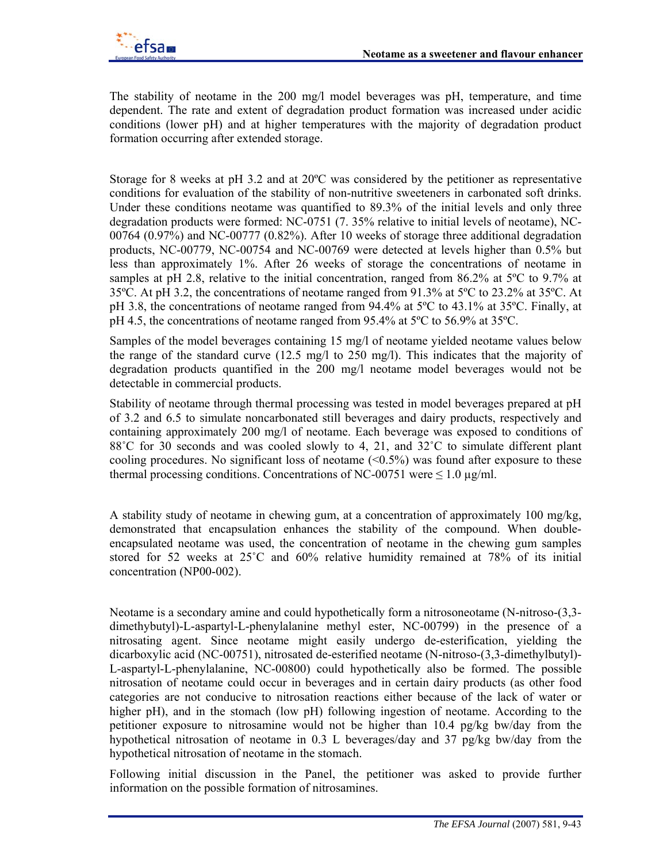

The stability of neotame in the 200 mg/l model beverages was pH, temperature, and time dependent. The rate and extent of degradation product formation was increased under acidic conditions (lower pH) and at higher temperatures with the majority of degradation product formation occurring after extended storage.

Storage for 8 weeks at pH 3.2 and at 20ºC was considered by the petitioner as representative conditions for evaluation of the stability of non-nutritive sweeteners in carbonated soft drinks. Under these conditions neotame was quantified to 89.3% of the initial levels and only three degradation products were formed: NC-0751 (7. 35% relative to initial levels of neotame), NC-00764 (0.97%) and NC-00777 (0.82%). After 10 weeks of storage three additional degradation products, NC-00779, NC-00754 and NC-00769 were detected at levels higher than 0.5% but less than approximately 1%. After 26 weeks of storage the concentrations of neotame in samples at pH 2.8, relative to the initial concentration, ranged from 86.2% at 5°C to 9.7% at 35ºC. At pH 3.2, the concentrations of neotame ranged from 91.3% at 5ºC to 23.2% at 35ºC. At pH 3.8, the concentrations of neotame ranged from 94.4% at 5ºC to 43.1% at 35ºC. Finally, at pH 4.5, the concentrations of neotame ranged from 95.4% at 5ºC to 56.9% at 35ºC.

Samples of the model beverages containing 15 mg/l of neotame yielded neotame values below the range of the standard curve (12.5 mg/l to 250 mg/l). This indicates that the majority of degradation products quantified in the 200 mg/l neotame model beverages would not be detectable in commercial products.

Stability of neotame through thermal processing was tested in model beverages prepared at pH of 3.2 and 6.5 to simulate noncarbonated still beverages and dairy products, respectively and containing approximately 200 mg/l of neotame. Each beverage was exposed to conditions of 88<sup>°</sup>C for 30 seconds and was cooled slowly to 4, 21, and 32<sup>°</sup>C to simulate different plant cooling procedures. No significant loss of neotame  $(\leq 0.5\%)$  was found after exposure to these thermal processing conditions. Concentrations of NC-00751 were  $\leq 1.0 \text{ µg/ml}$ .

A stability study of neotame in chewing gum, at a concentration of approximately 100 mg/kg, demonstrated that encapsulation enhances the stability of the compound. When doubleencapsulated neotame was used, the concentration of neotame in the chewing gum samples stored for 52 weeks at 25˚C and 60% relative humidity remained at 78% of its initial concentration (NP00-002).

Neotame is a secondary amine and could hypothetically form a nitrosoneotame (N-nitroso-(3,3 dimethybutyl)-L-aspartyl-L-phenylalanine methyl ester, NC-00799) in the presence of a nitrosating agent. Since neotame might easily undergo de-esterification, yielding the dicarboxylic acid (NC-00751), nitrosated de-esterified neotame (N-nitroso-(3,3-dimethylbutyl)- L-aspartyl-L-phenylalanine, NC-00800) could hypothetically also be formed. The possible nitrosation of neotame could occur in beverages and in certain dairy products (as other food categories are not conducive to nitrosation reactions either because of the lack of water or higher pH), and in the stomach (low pH) following ingestion of neotame. According to the petitioner exposure to nitrosamine would not be higher than 10.4 pg/kg bw/day from the hypothetical nitrosation of neotame in 0.3 L beverages/day and 37 pg/kg bw/day from the hypothetical nitrosation of neotame in the stomach.

Following initial discussion in the Panel, the petitioner was asked to provide further information on the possible formation of nitrosamines.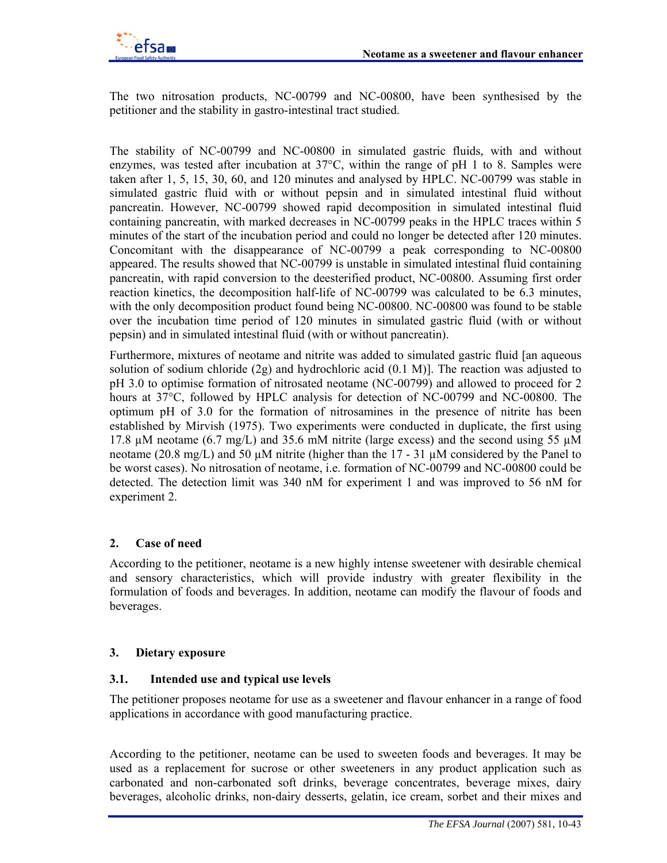The two nitrosation products, NC-00799 and NC-00800, have been synthesised by the petitioner and the stability in gastro-intestinal tract studied.

The stability of NC-00799 and NC-00800 in simulated gastric fluids, with and without enzymes, was tested after incubation at  $37^{\circ}$ C, within the range of pH 1 to 8. Samples were taken after 1, 5, 15, 30, 60, and 120 minutes and analysed by HPLC. NC-00799 was stable in simulated gastric fluid with or without pepsin and in simulated intestinal fluid without pancreatin. However, NC-00799 showed rapid decomposition in simulated intestinal fluid containing pancreatin, with marked decreases in NC-00799 peaks in the HPLC traces within 5 minutes of the start of the incubation period and could no longer be detected after 120 minutes. Concomitant with the disappearance of NC-00799 a peak corresponding to NC-00800 appeared. The results showed that NC-00799 is unstable in simulated intestinal fluid containing pancreatin, with rapid conversion to the deesterified product, NC-00800. Assuming first order reaction kinetics, the decomposition half-life of NC-00799 was calculated to be 6.3 minutes, with the only decomposition product found being NC-00800. NC-00800 was found to be stable over the incubation time period of 120 minutes in simulated gastric fluid (with or without pepsin) and in simulated intestinal fluid (with or without pancreatin).

Furthermore, mixtures of neotame and nitrite was added to simulated gastric fluid [an aqueous solution of sodium chloride (2g) and hydrochloric acid (0.1 M)]. The reaction was adjusted to pH 3.0 to optimise formation of nitrosated neotame (NC-00799) and allowed to proceed for 2 hours at 37°C, followed by HPLC analysis for detection of NC-00799 and NC-00800. The optimum pH of 3.0 for the formation of nitrosamines in the presence of nitrite has been established by Mirvish (1975). Two experiments were conducted in duplicate, the first using 17.8  $\mu$ M neotame (6.7 mg/L) and 35.6 mM nitrite (large excess) and the second using 55  $\mu$ M neotame (20.8 mg/L) and 50  $\mu$ M nitrite (higher than the 17 - 31  $\mu$ M considered by the Panel to be worst cases). No nitrosation of neotame, i.e. formation of NC-00799 and NC-00800 could be detected. The detection limit was 340 nM for experiment 1 and was improved to 56 nM for experiment 2.

# **2. Case of need**

According to the petitioner, neotame is a new highly intense sweetener with desirable chemical and sensory characteristics, which will provide industry with greater flexibility in the formulation of foods and beverages. In addition, neotame can modify the flavour of foods and beverages.

# **3. Dietary exposure**

### **3.1. Intended use and typical use levels**

The petitioner proposes neotame for use as a sweetener and flavour enhancer in a range of food applications in accordance with good manufacturing practice.

According to the petitioner, neotame can be used to sweeten foods and beverages. It may be used as a replacement for sucrose or other sweeteners in any product application such as carbonated and non-carbonated soft drinks, beverage concentrates, beverage mixes, dairy beverages, alcoholic drinks, non-dairy desserts, gelatin, ice cream, sorbet and their mixes and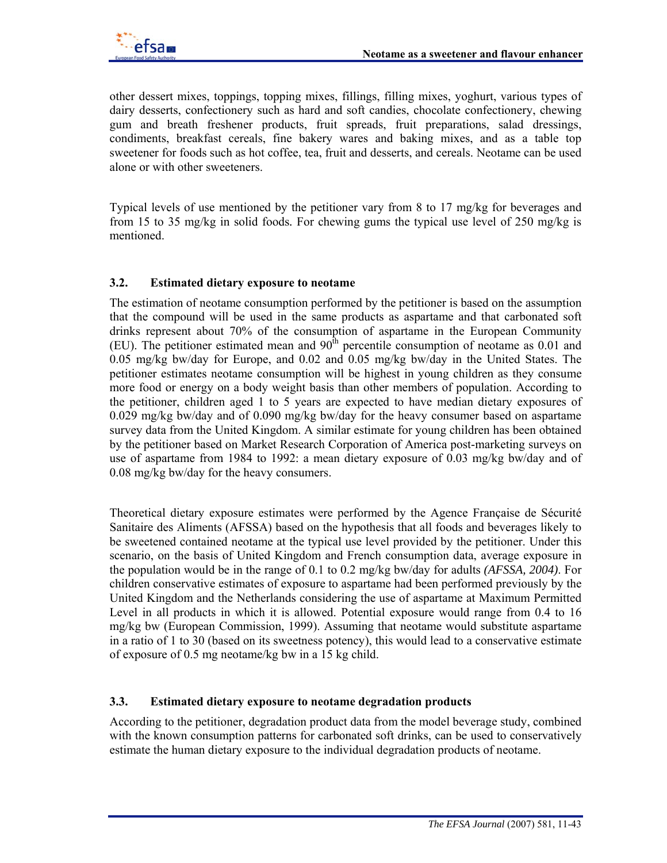

other dessert mixes, toppings, topping mixes, fillings, filling mixes, yoghurt, various types of dairy desserts, confectionery such as hard and soft candies, chocolate confectionery, chewing gum and breath freshener products, fruit spreads, fruit preparations, salad dressings, condiments, breakfast cereals, fine bakery wares and baking mixes, and as a table top sweetener for foods such as hot coffee, tea, fruit and desserts, and cereals. Neotame can be used alone or with other sweeteners.

Typical levels of use mentioned by the petitioner vary from 8 to 17 mg/kg for beverages and from 15 to 35 mg/kg in solid foods*.* For chewing gums the typical use level of 250 mg/kg is mentioned.

### **3.2. Estimated dietary exposure to neotame**

The estimation of neotame consumption performed by the petitioner is based on the assumption that the compound will be used in the same products as aspartame and that carbonated soft drinks represent about 70% of the consumption of aspartame in the European Community (EU). The petitioner estimated mean and  $90<sup>th</sup>$  percentile consumption of neotame as 0.01 and 0.05 mg/kg bw/day for Europe, and 0.02 and 0.05 mg/kg bw/day in the United States. The petitioner estimates neotame consumption will be highest in young children as they consume more food or energy on a body weight basis than other members of population. According to the petitioner, children aged 1 to 5 years are expected to have median dietary exposures of 0.029 mg/kg bw/day and of 0.090 mg/kg bw/day for the heavy consumer based on aspartame survey data from the United Kingdom. A similar estimate for young children has been obtained by the petitioner based on Market Research Corporation of America post-marketing surveys on use of aspartame from 1984 to 1992: a mean dietary exposure of 0.03 mg/kg bw/day and of 0.08 mg/kg bw/day for the heavy consumers.

Theoretical dietary exposure estimates were performed by the Agence Française de Sécurité Sanitaire des Aliments (AFSSA) based on the hypothesis that all foods and beverages likely to be sweetened contained neotame at the typical use level provided by the petitioner. Under this scenario, on the basis of United Kingdom and French consumption data, average exposure in the population would be in the range of 0.1 to 0.2 mg/kg bw/day for adults *(AFSSA, 2004)*. For children conservative estimates of exposure to aspartame had been performed previously by the United Kingdom and the Netherlands considering the use of aspartame at Maximum Permitted Level in all products in which it is allowed. Potential exposure would range from 0.4 to 16 mg/kg bw (European Commission, 1999). Assuming that neotame would substitute aspartame in a ratio of 1 to 30 (based on its sweetness potency), this would lead to a conservative estimate of exposure of 0.5 mg neotame/kg bw in a 15 kg child.

### **3.3. Estimated dietary exposure to neotame degradation products**

According to the petitioner, degradation product data from the model beverage study, combined with the known consumption patterns for carbonated soft drinks, can be used to conservatively estimate the human dietary exposure to the individual degradation products of neotame.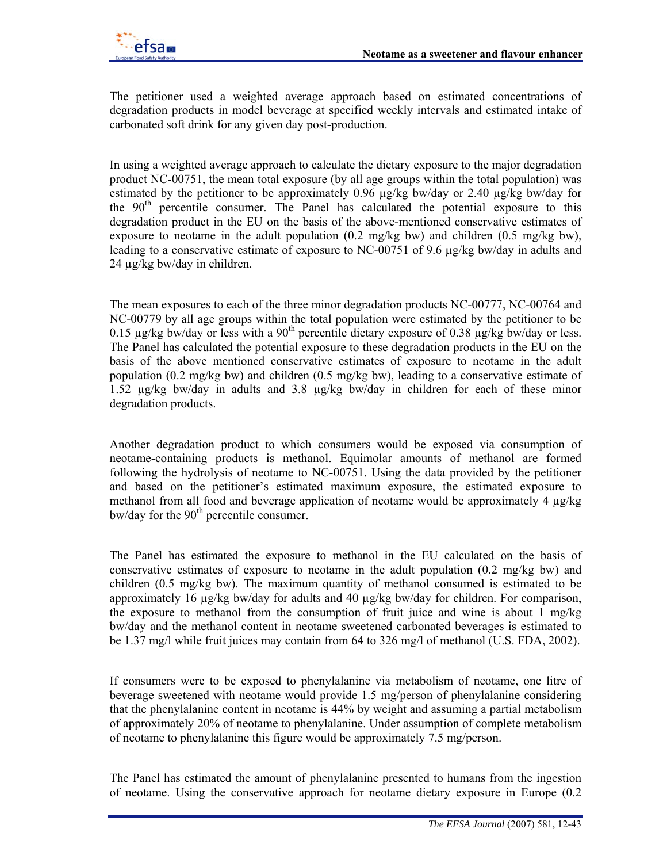

The petitioner used a weighted average approach based on estimated concentrations of degradation products in model beverage at specified weekly intervals and estimated intake of carbonated soft drink for any given day post-production.

In using a weighted average approach to calculate the dietary exposure to the major degradation product NC-00751, the mean total exposure (by all age groups within the total population) was estimated by the petitioner to be approximately  $0.96 \mu g/kg$  bw/day or  $2.40 \mu g/kg$  bw/day for the  $90<sup>th</sup>$  percentile consumer. The Panel has calculated the potential exposure to this degradation product in the EU on the basis of the above-mentioned conservative estimates of exposure to neotame in the adult population  $(0.2 \text{ mg/kg bw})$  and children  $(0.5 \text{ mg/kg bw})$ . leading to a conservative estimate of exposure to NC-00751 of 9.6 µg/kg bw/day in adults and 24 µg/kg bw/day in children.

The mean exposures to each of the three minor degradation products NC-00777, NC-00764 and NC-00779 by all age groups within the total population were estimated by the petitioner to be 0.15  $\mu$ g/kg bw/day or less with a 90<sup>th</sup> percentile dietary exposure of 0.38  $\mu$ g/kg bw/day or less. The Panel has calculated the potential exposure to these degradation products in the EU on the basis of the above mentioned conservative estimates of exposure to neotame in the adult population (0.2 mg/kg bw) and children (0.5 mg/kg bw), leading to a conservative estimate of 1.52 µg/kg bw/day in adults and 3.8 µg/kg bw/day in children for each of these minor degradation products.

Another degradation product to which consumers would be exposed via consumption of neotame-containing products is methanol. Equimolar amounts of methanol are formed following the hydrolysis of neotame to NC-00751. Using the data provided by the petitioner and based on the petitioner's estimated maximum exposure, the estimated exposure to methanol from all food and beverage application of neotame would be approximately 4  $\mu$ g/kg  $b$ w/day for the 90<sup>th</sup> percentile consumer.

The Panel has estimated the exposure to methanol in the EU calculated on the basis of conservative estimates of exposure to neotame in the adult population (0.2 mg/kg bw) and children (0.5 mg/kg bw). The maximum quantity of methanol consumed is estimated to be approximately 16 µg/kg bw/day for adults and 40 µg/kg bw/day for children. For comparison, the exposure to methanol from the consumption of fruit juice and wine is about 1 mg/kg bw/day and the methanol content in neotame sweetened carbonated beverages is estimated to be 1.37 mg/l while fruit juices may contain from 64 to 326 mg/l of methanol (U.S. FDA, 2002).

If consumers were to be exposed to phenylalanine via metabolism of neotame, one litre of beverage sweetened with neotame would provide 1.5 mg/person of phenylalanine considering that the phenylalanine content in neotame is 44% by weight and assuming a partial metabolism of approximately 20% of neotame to phenylalanine. Under assumption of complete metabolism of neotame to phenylalanine this figure would be approximately 7.5 mg/person.

The Panel has estimated the amount of phenylalanine presented to humans from the ingestion of neotame. Using the conservative approach for neotame dietary exposure in Europe (0.2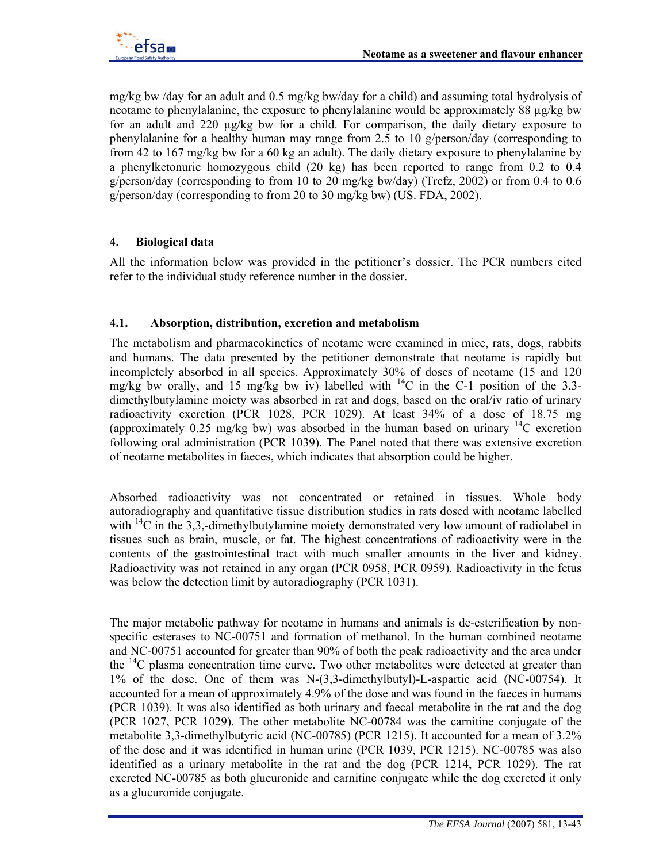

mg/kg bw /day for an adult and 0.5 mg/kg bw/day for a child) and assuming total hydrolysis of neotame to phenylalanine, the exposure to phenylalanine would be approximately 88 µg/kg bw for an adult and 220 µg/kg bw for a child. For comparison, the daily dietary exposure to phenylalanine for a healthy human may range from 2.5 to 10 g/person/day (corresponding to from 42 to 167 mg/kg bw for a 60 kg an adult). The daily dietary exposure to phenylalanine by a phenylketonuric homozygous child (20 kg) has been reported to range from 0.2 to 0.4 g/person/day (corresponding to from 10 to 20 mg/kg bw/day) (Trefz, 2002) or from 0.4 to 0.6 g/person/day (corresponding to from 20 to 30 mg/kg bw) (US. FDA, 2002).

# **4. Biological data**

All the information below was provided in the petitioner's dossier. The PCR numbers cited refer to the individual study reference number in the dossier.

### **4.1. Absorption, distribution, excretion and metabolism**

The metabolism and pharmacokinetics of neotame were examined in mice, rats, dogs, rabbits and humans. The data presented by the petitioner demonstrate that neotame is rapidly but incompletely absorbed in all species. Approximately 30% of doses of neotame (15 and 120 mg/kg bw orally, and 15 mg/kg bw iv) labelled with  $^{14}$ C in the C-1 position of the 3,3dimethylbutylamine moiety was absorbed in rat and dogs, based on the oral/iv ratio of urinary radioactivity excretion (PCR 1028, PCR 1029). At least 34% of a dose of 18.75 mg (approximately 0.25 mg/kg bw) was absorbed in the human based on urinary  $^{14}$ C excretion following oral administration (PCR 1039). The Panel noted that there was extensive excretion of neotame metabolites in faeces, which indicates that absorption could be higher.

Absorbed radioactivity was not concentrated or retained in tissues. Whole body autoradiography and quantitative tissue distribution studies in rats dosed with neotame labelled with  $^{14}$ C in the 3,3,-dimethylbutylamine moiety demonstrated very low amount of radiolabel in tissues such as brain, muscle, or fat. The highest concentrations of radioactivity were in the contents of the gastrointestinal tract with much smaller amounts in the liver and kidney. Radioactivity was not retained in any organ (PCR 0958, PCR 0959). Radioactivity in the fetus was below the detection limit by autoradiography (PCR 1031).

The major metabolic pathway for neotame in humans and animals is de-esterification by nonspecific esterases to NC-00751 and formation of methanol. In the human combined neotame and NC-00751 accounted for greater than 90% of both the peak radioactivity and the area under the  $^{14}$ C plasma concentration time curve. Two other metabolites were detected at greater than 1% of the dose. One of them was N-(3,3-dimethylbutyl)-L-aspartic acid (NC-00754). It accounted for a mean of approximately 4.9% of the dose and was found in the faeces in humans (PCR 1039). It was also identified as both urinary and faecal metabolite in the rat and the dog (PCR 1027, PCR 1029). The other metabolite NC-00784 was the carnitine conjugate of the metabolite 3,3-dimethylbutyric acid (NC-00785) (PCR 1215). It accounted for a mean of 3.2% of the dose and it was identified in human urine (PCR 1039, PCR 1215). NC-00785 was also identified as a urinary metabolite in the rat and the dog (PCR 1214, PCR 1029). The rat excreted NC-00785 as both glucuronide and carnitine conjugate while the dog excreted it only as a glucuronide conjugate.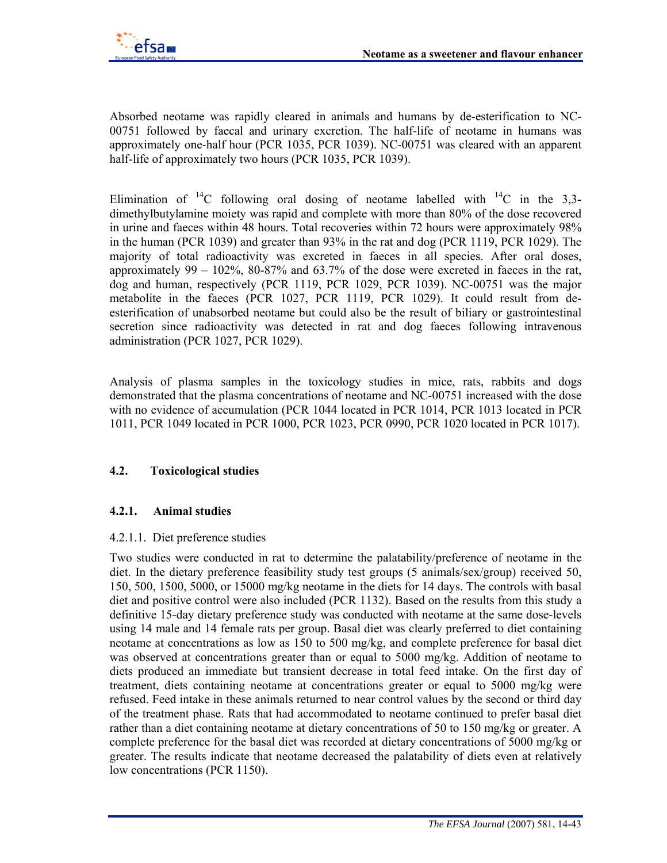

Absorbed neotame was rapidly cleared in animals and humans by de-esterification to NC-00751 followed by faecal and urinary excretion. The half-life of neotame in humans was approximately one-half hour (PCR 1035, PCR 1039). NC-00751 was cleared with an apparent half-life of approximately two hours (PCR 1035, PCR 1039).

Elimination of  ${}^{14}C$  following oral dosing of neotame labelled with  ${}^{14}C$  in the 3,3dimethylbutylamine moiety was rapid and complete with more than 80% of the dose recovered in urine and faeces within 48 hours. Total recoveries within 72 hours were approximately 98% in the human (PCR 1039) and greater than 93% in the rat and dog (PCR 1119, PCR 1029). The majority of total radioactivity was excreted in faeces in all species. After oral doses, approximately  $99 - 102\%$ ,  $80-87\%$  and  $63.7\%$  of the dose were excreted in faeces in the rat, dog and human, respectively (PCR 1119, PCR 1029, PCR 1039). NC-00751 was the major metabolite in the faeces (PCR 1027, PCR 1119, PCR 1029). It could result from deesterification of unabsorbed neotame but could also be the result of biliary or gastrointestinal secretion since radioactivity was detected in rat and dog faeces following intravenous administration (PCR 1027, PCR 1029).

Analysis of plasma samples in the toxicology studies in mice, rats, rabbits and dogs demonstrated that the plasma concentrations of neotame and NC-00751 increased with the dose with no evidence of accumulation (PCR 1044 located in PCR 1014, PCR 1013 located in PCR 1011, PCR 1049 located in PCR 1000, PCR 1023, PCR 0990, PCR 1020 located in PCR 1017).

### **4.2. Toxicological studies**

### **4.2.1. Animal studies**

#### 4.2.1.1. Diet preference studies

Two studies were conducted in rat to determine the palatability/preference of neotame in the diet. In the dietary preference feasibility study test groups (5 animals/sex/group) received 50, 150, 500, 1500, 5000, or 15000 mg/kg neotame in the diets for 14 days. The controls with basal diet and positive control were also included (PCR 1132). Based on the results from this study a definitive 15-day dietary preference study was conducted with neotame at the same dose-levels using 14 male and 14 female rats per group. Basal diet was clearly preferred to diet containing neotame at concentrations as low as 150 to 500 mg/kg, and complete preference for basal diet was observed at concentrations greater than or equal to 5000 mg/kg. Addition of neotame to diets produced an immediate but transient decrease in total feed intake. On the first day of treatment, diets containing neotame at concentrations greater or equal to 5000 mg/kg were refused. Feed intake in these animals returned to near control values by the second or third day of the treatment phase. Rats that had accommodated to neotame continued to prefer basal diet rather than a diet containing neotame at dietary concentrations of 50 to 150 mg/kg or greater. A complete preference for the basal diet was recorded at dietary concentrations of 5000 mg/kg or greater. The results indicate that neotame decreased the palatability of diets even at relatively low concentrations (PCR 1150).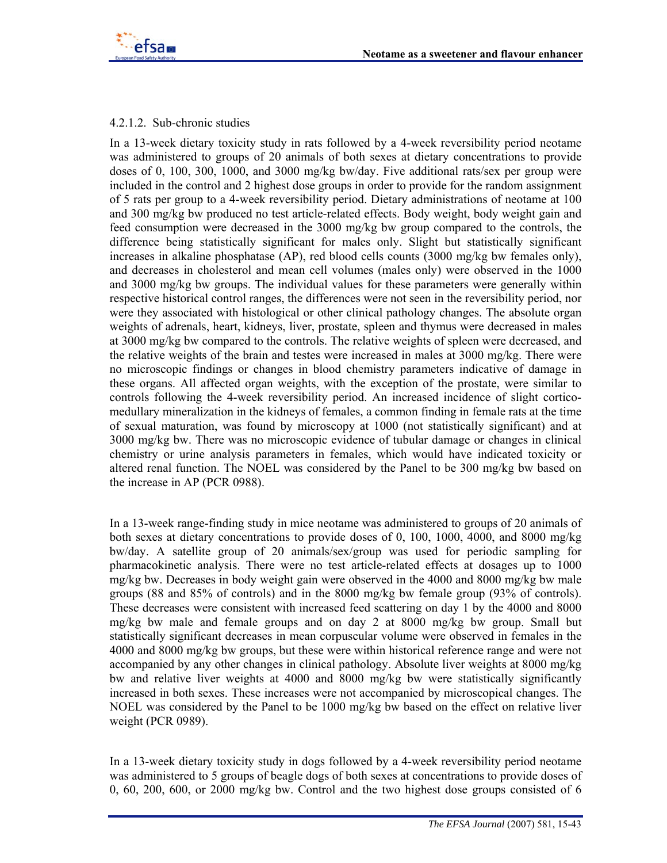

#### 4.2.1.2. Sub-chronic studies

In a 13-week dietary toxicity study in rats followed by a 4-week reversibility period neotame was administered to groups of 20 animals of both sexes at dietary concentrations to provide doses of 0, 100, 300, 1000, and 3000 mg/kg bw/day. Five additional rats/sex per group were included in the control and 2 highest dose groups in order to provide for the random assignment of 5 rats per group to a 4-week reversibility period. Dietary administrations of neotame at 100 and 300 mg/kg bw produced no test article-related effects. Body weight, body weight gain and feed consumption were decreased in the 3000 mg/kg bw group compared to the controls, the difference being statistically significant for males only. Slight but statistically significant increases in alkaline phosphatase (AP), red blood cells counts (3000 mg/kg bw females only), and decreases in cholesterol and mean cell volumes (males only) were observed in the 1000 and 3000 mg/kg bw groups. The individual values for these parameters were generally within respective historical control ranges, the differences were not seen in the reversibility period, nor were they associated with histological or other clinical pathology changes. The absolute organ weights of adrenals, heart, kidneys, liver, prostate, spleen and thymus were decreased in males at 3000 mg/kg bw compared to the controls. The relative weights of spleen were decreased, and the relative weights of the brain and testes were increased in males at 3000 mg/kg. There were no microscopic findings or changes in blood chemistry parameters indicative of damage in these organs. All affected organ weights, with the exception of the prostate, were similar to controls following the 4-week reversibility period. An increased incidence of slight corticomedullary mineralization in the kidneys of females, a common finding in female rats at the time of sexual maturation, was found by microscopy at 1000 (not statistically significant) and at 3000 mg/kg bw. There was no microscopic evidence of tubular damage or changes in clinical chemistry or urine analysis parameters in females, which would have indicated toxicity or altered renal function. The NOEL was considered by the Panel to be 300 mg/kg bw based on the increase in AP (PCR 0988).

In a 13-week range-finding study in mice neotame was administered to groups of 20 animals of both sexes at dietary concentrations to provide doses of 0, 100, 1000, 4000, and 8000 mg/kg bw/day. A satellite group of 20 animals/sex/group was used for periodic sampling for pharmacokinetic analysis. There were no test article-related effects at dosages up to 1000 mg/kg bw. Decreases in body weight gain were observed in the 4000 and 8000 mg/kg bw male groups (88 and 85% of controls) and in the 8000 mg/kg bw female group (93% of controls). These decreases were consistent with increased feed scattering on day 1 by the 4000 and 8000 mg/kg bw male and female groups and on day 2 at 8000 mg/kg bw group. Small but statistically significant decreases in mean corpuscular volume were observed in females in the 4000 and 8000 mg/kg bw groups, but these were within historical reference range and were not accompanied by any other changes in clinical pathology. Absolute liver weights at 8000 mg/kg bw and relative liver weights at 4000 and 8000 mg/kg bw were statistically significantly increased in both sexes. These increases were not accompanied by microscopical changes. The NOEL was considered by the Panel to be 1000 mg/kg bw based on the effect on relative liver weight (PCR 0989).

In a 13-week dietary toxicity study in dogs followed by a 4-week reversibility period neotame was administered to 5 groups of beagle dogs of both sexes at concentrations to provide doses of 0, 60, 200, 600, or 2000 mg/kg bw. Control and the two highest dose groups consisted of 6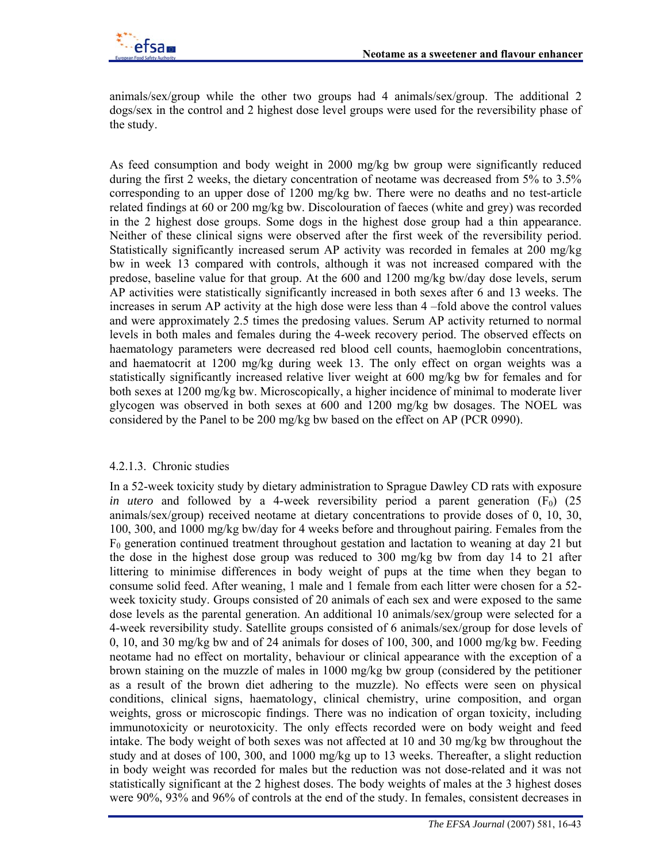

animals/sex/group while the other two groups had 4 animals/sex/group. The additional 2 dogs/sex in the control and 2 highest dose level groups were used for the reversibility phase of the study.

As feed consumption and body weight in 2000 mg/kg bw group were significantly reduced during the first 2 weeks, the dietary concentration of neotame was decreased from 5% to 3.5% corresponding to an upper dose of 1200 mg/kg bw. There were no deaths and no test-article related findings at 60 or 200 mg/kg bw. Discolouration of faeces (white and grey) was recorded in the 2 highest dose groups. Some dogs in the highest dose group had a thin appearance. Neither of these clinical signs were observed after the first week of the reversibility period. Statistically significantly increased serum AP activity was recorded in females at 200 mg/kg bw in week 13 compared with controls, although it was not increased compared with the predose, baseline value for that group. At the 600 and 1200 mg/kg bw/day dose levels, serum AP activities were statistically significantly increased in both sexes after 6 and 13 weeks. The increases in serum AP activity at the high dose were less than 4 –fold above the control values and were approximately 2.5 times the predosing values. Serum AP activity returned to normal levels in both males and females during the 4-week recovery period. The observed effects on haematology parameters were decreased red blood cell counts, haemoglobin concentrations, and haematocrit at 1200 mg/kg during week 13. The only effect on organ weights was a statistically significantly increased relative liver weight at 600 mg/kg bw for females and for both sexes at 1200 mg/kg bw. Microscopically, a higher incidence of minimal to moderate liver glycogen was observed in both sexes at 600 and 1200 mg/kg bw dosages. The NOEL was considered by the Panel to be 200 mg/kg bw based on the effect on AP (PCR 0990).

#### 4.2.1.3. Chronic studies

In a 52-week toxicity study by dietary administration to Sprague Dawley CD rats with exposure *in utero* and followed by a 4-week reversibility period a parent generation  $(F_0)$  (25) animals/sex/group) received neotame at dietary concentrations to provide doses of 0, 10, 30, 100, 300, and 1000 mg/kg bw/day for 4 weeks before and throughout pairing. Females from the  $F_0$  generation continued treatment throughout gestation and lactation to weaning at day 21 but the dose in the highest dose group was reduced to 300 mg/kg bw from day 14 to 21 after littering to minimise differences in body weight of pups at the time when they began to consume solid feed. After weaning, 1 male and 1 female from each litter were chosen for a 52 week toxicity study. Groups consisted of 20 animals of each sex and were exposed to the same dose levels as the parental generation. An additional 10 animals/sex/group were selected for a 4-week reversibility study. Satellite groups consisted of 6 animals/sex/group for dose levels of 0, 10, and 30 mg/kg bw and of 24 animals for doses of 100, 300, and 1000 mg/kg bw. Feeding neotame had no effect on mortality, behaviour or clinical appearance with the exception of a brown staining on the muzzle of males in 1000 mg/kg bw group (considered by the petitioner as a result of the brown diet adhering to the muzzle). No effects were seen on physical conditions, clinical signs, haematology, clinical chemistry, urine composition, and organ weights, gross or microscopic findings. There was no indication of organ toxicity, including immunotoxicity or neurotoxicity. The only effects recorded were on body weight and feed intake. The body weight of both sexes was not affected at 10 and 30 mg/kg bw throughout the study and at doses of 100, 300, and 1000 mg/kg up to 13 weeks. Thereafter, a slight reduction in body weight was recorded for males but the reduction was not dose-related and it was not statistically significant at the 2 highest doses. The body weights of males at the 3 highest doses were 90%, 93% and 96% of controls at the end of the study. In females, consistent decreases in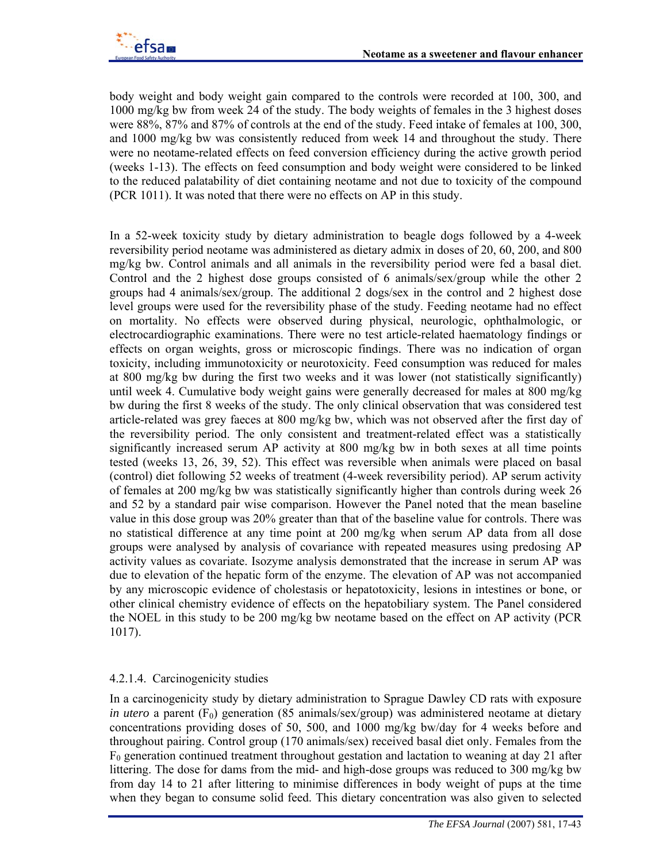body weight and body weight gain compared to the controls were recorded at 100, 300, and 1000 mg/kg bw from week 24 of the study. The body weights of females in the 3 highest doses were 88%, 87% and 87% of controls at the end of the study. Feed intake of females at 100, 300, and 1000 mg/kg bw was consistently reduced from week 14 and throughout the study. There were no neotame-related effects on feed conversion efficiency during the active growth period (weeks 1-13). The effects on feed consumption and body weight were considered to be linked to the reduced palatability of diet containing neotame and not due to toxicity of the compound (PCR 1011). It was noted that there were no effects on AP in this study.

In a 52-week toxicity study by dietary administration to beagle dogs followed by a 4-week reversibility period neotame was administered as dietary admix in doses of 20, 60, 200, and 800 mg/kg bw. Control animals and all animals in the reversibility period were fed a basal diet. Control and the 2 highest dose groups consisted of 6 animals/sex/group while the other 2 groups had 4 animals/sex/group. The additional 2 dogs/sex in the control and 2 highest dose level groups were used for the reversibility phase of the study. Feeding neotame had no effect on mortality. No effects were observed during physical, neurologic, ophthalmologic, or electrocardiographic examinations. There were no test article-related haematology findings or effects on organ weights, gross or microscopic findings. There was no indication of organ toxicity, including immunotoxicity or neurotoxicity. Feed consumption was reduced for males at 800 mg/kg bw during the first two weeks and it was lower (not statistically significantly) until week 4. Cumulative body weight gains were generally decreased for males at 800 mg/kg bw during the first 8 weeks of the study. The only clinical observation that was considered test article-related was grey faeces at 800 mg/kg bw, which was not observed after the first day of the reversibility period. The only consistent and treatment-related effect was a statistically significantly increased serum AP activity at 800 mg/kg bw in both sexes at all time points tested (weeks 13, 26, 39, 52). This effect was reversible when animals were placed on basal (control) diet following 52 weeks of treatment (4-week reversibility period). AP serum activity of females at 200 mg/kg bw was statistically significantly higher than controls during week 26 and 52 by a standard pair wise comparison. However the Panel noted that the mean baseline value in this dose group was 20% greater than that of the baseline value for controls. There was no statistical difference at any time point at 200 mg/kg when serum AP data from all dose groups were analysed by analysis of covariance with repeated measures using predosing AP activity values as covariate. Isozyme analysis demonstrated that the increase in serum AP was due to elevation of the hepatic form of the enzyme. The elevation of AP was not accompanied by any microscopic evidence of cholestasis or hepatotoxicity, lesions in intestines or bone, or other clinical chemistry evidence of effects on the hepatobiliary system. The Panel considered the NOEL in this study to be 200 mg/kg bw neotame based on the effect on AP activity (PCR 1017).

# 4.2.1.4. Carcinogenicity studies

In a carcinogenicity study by dietary administration to Sprague Dawley CD rats with exposure *in utero* a parent  $(F_0)$  generation (85 animals/sex/group) was administered neotame at dietary concentrations providing doses of 50, 500, and 1000 mg/kg bw/day for 4 weeks before and throughout pairing. Control group (170 animals/sex) received basal diet only. Females from the  $F_0$  generation continued treatment throughout gestation and lactation to weaning at day 21 after littering. The dose for dams from the mid- and high-dose groups was reduced to 300 mg/kg bw from day 14 to 21 after littering to minimise differences in body weight of pups at the time when they began to consume solid feed. This dietary concentration was also given to selected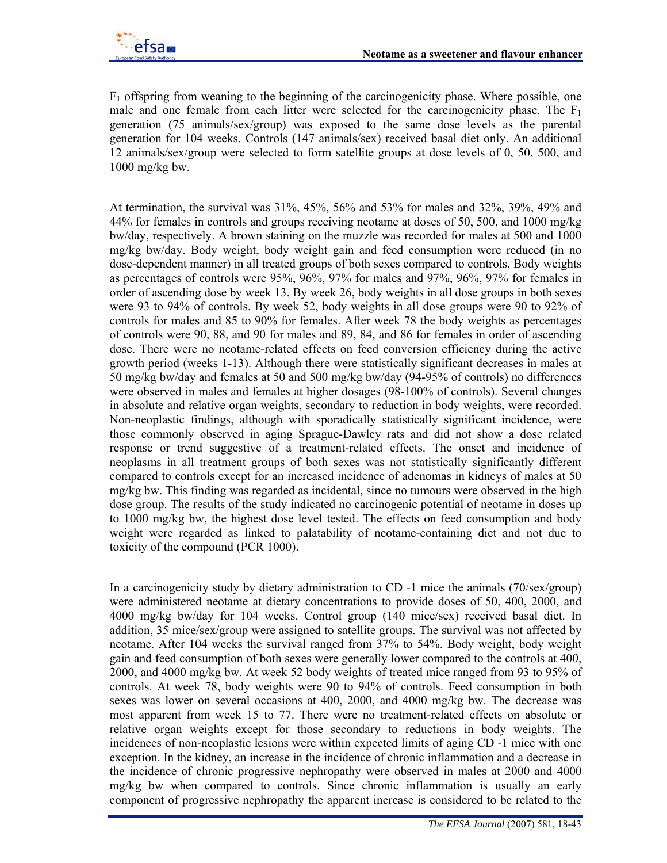$F_1$  offspring from weaning to the beginning of the carcinogenicity phase. Where possible, one male and one female from each litter were selected for the carcinogenicity phase. The  $F_1$ generation (75 animals/sex/group) was exposed to the same dose levels as the parental generation for 104 weeks. Controls (147 animals/sex) received basal diet only. An additional 12 animals/sex/group were selected to form satellite groups at dose levels of 0, 50, 500, and 1000 mg/kg bw.

At termination, the survival was 31%, 45%, 56% and 53% for males and 32%, 39%, 49% and 44% for females in controls and groups receiving neotame at doses of 50, 500, and 1000 mg/kg bw/day, respectively. A brown staining on the muzzle was recorded for males at 500 and 1000 mg/kg bw/day. Body weight, body weight gain and feed consumption were reduced (in no dose-dependent manner) in all treated groups of both sexes compared to controls. Body weights as percentages of controls were 95%, 96%, 97% for males and 97%, 96%, 97% for females in order of ascending dose by week 13. By week 26, body weights in all dose groups in both sexes were 93 to 94% of controls. By week 52, body weights in all dose groups were 90 to 92% of controls for males and 85 to 90% for females. After week 78 the body weights as percentages of controls were 90, 88, and 90 for males and 89, 84, and 86 for females in order of ascending dose. There were no neotame-related effects on feed conversion efficiency during the active growth period (weeks 1-13). Although there were statistically significant decreases in males at 50 mg/kg bw/day and females at 50 and 500 mg/kg bw/day (94-95% of controls) no differences were observed in males and females at higher dosages (98-100% of controls). Several changes in absolute and relative organ weights, secondary to reduction in body weights, were recorded. Non-neoplastic findings, although with sporadically statistically significant incidence, were those commonly observed in aging Sprague-Dawley rats and did not show a dose related response or trend suggestive of a treatment-related effects. The onset and incidence of neoplasms in all treatment groups of both sexes was not statistically significantly different compared to controls except for an increased incidence of adenomas in kidneys of males at 50 mg/kg bw. This finding was regarded as incidental, since no tumours were observed in the high dose group. The results of the study indicated no carcinogenic potential of neotame in doses up to 1000 mg/kg bw, the highest dose level tested. The effects on feed consumption and body weight were regarded as linked to palatability of neotame-containing diet and not due to toxicity of the compound (PCR 1000).

In a carcinogenicity study by dietary administration to CD -1 mice the animals (70/sex/group) were administered neotame at dietary concentrations to provide doses of 50, 400, 2000, and 4000 mg/kg bw/day for 104 weeks. Control group (140 mice/sex) received basal diet. In addition, 35 mice/sex/group were assigned to satellite groups. The survival was not affected by neotame. After 104 weeks the survival ranged from 37% to 54%. Body weight, body weight gain and feed consumption of both sexes were generally lower compared to the controls at 400, 2000, and 4000 mg/kg bw. At week 52 body weights of treated mice ranged from 93 to 95% of controls. At week 78, body weights were 90 to 94% of controls. Feed consumption in both sexes was lower on several occasions at 400, 2000, and 4000 mg/kg bw. The decrease was most apparent from week 15 to 77. There were no treatment-related effects on absolute or relative organ weights except for those secondary to reductions in body weights. The incidences of non-neoplastic lesions were within expected limits of aging CD -1 mice with one exception. In the kidney, an increase in the incidence of chronic inflammation and a decrease in the incidence of chronic progressive nephropathy were observed in males at 2000 and 4000 mg/kg bw when compared to controls. Since chronic inflammation is usually an early component of progressive nephropathy the apparent increase is considered to be related to the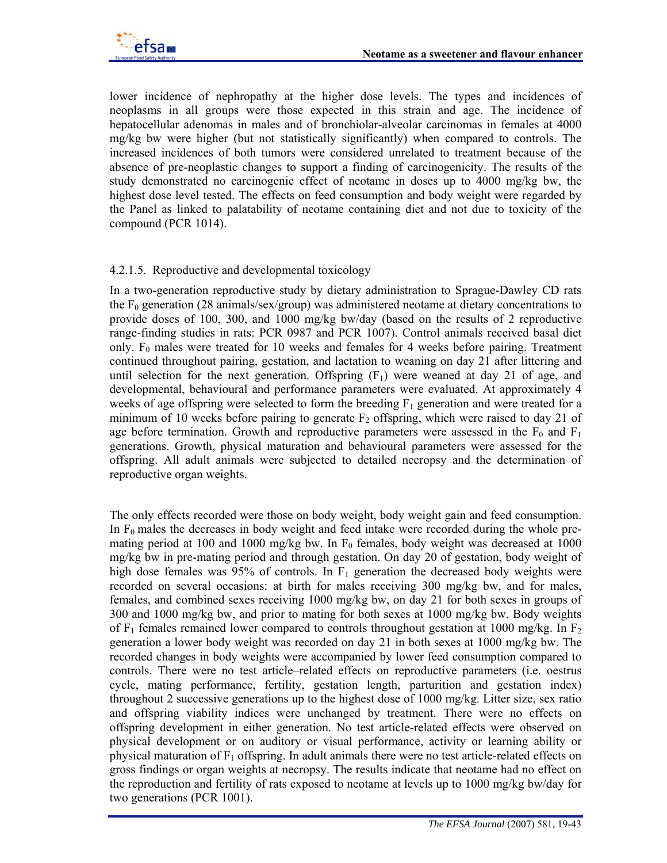lower incidence of nephropathy at the higher dose levels. The types and incidences of neoplasms in all groups were those expected in this strain and age. The incidence of hepatocellular adenomas in males and of bronchiolar-alveolar carcinomas in females at 4000 mg/kg bw were higher (but not statistically significantly) when compared to controls. The increased incidences of both tumors were considered unrelated to treatment because of the absence of pre-neoplastic changes to support a finding of carcinogenicity. The results of the study demonstrated no carcinogenic effect of neotame in doses up to 4000 mg/kg bw, the highest dose level tested. The effects on feed consumption and body weight were regarded by the Panel as linked to palatability of neotame containing diet and not due to toxicity of the compound (PCR 1014).

# 4.2.1.5. Reproductive and developmental toxicology

In a two-generation reproductive study by dietary administration to Sprague-Dawley CD rats the  $F_0$  generation (28 animals/sex/group) was administered neotame at dietary concentrations to provide doses of 100, 300, and 1000 mg/kg bw/day (based on the results of 2 reproductive range-finding studies in rats: PCR 0987 and PCR 1007). Control animals received basal diet only.  $F_0$  males were treated for 10 weeks and females for 4 weeks before pairing. Treatment continued throughout pairing, gestation, and lactation to weaning on day 21 after littering and until selection for the next generation. Offspring  $(F<sub>1</sub>)$  were weaned at day 21 of age, and developmental, behavioural and performance parameters were evaluated. At approximately 4 weeks of age offspring were selected to form the breeding  $F_1$  generation and were treated for a minimum of 10 weeks before pairing to generate  $F_2$  offspring, which were raised to day 21 of age before termination. Growth and reproductive parameters were assessed in the  $F_0$  and  $F_1$ generations. Growth, physical maturation and behavioural parameters were assessed for the offspring. All adult animals were subjected to detailed necropsy and the determination of reproductive organ weights.

The only effects recorded were those on body weight, body weight gain and feed consumption. In  $F_0$  males the decreases in body weight and feed intake were recorded during the whole premating period at 100 and 1000 mg/kg bw. In  $F_0$  females, body weight was decreased at 1000 mg/kg bw in pre-mating period and through gestation. On day 20 of gestation, body weight of high dose females was 95% of controls. In  $F_1$  generation the decreased body weights were recorded on several occasions: at birth for males receiving 300 mg/kg bw, and for males, females, and combined sexes receiving 1000 mg/kg bw, on day 21 for both sexes in groups of 300 and 1000 mg/kg bw, and prior to mating for both sexes at 1000 mg/kg bw. Body weights of  $F_1$  females remained lower compared to controls throughout gestation at 1000 mg/kg. In  $F_2$ generation a lower body weight was recorded on day 21 in both sexes at 1000 mg/kg bw. The recorded changes in body weights were accompanied by lower feed consumption compared to controls. There were no test article–related effects on reproductive parameters (i.e. oestrus cycle, mating performance, fertility, gestation length, parturition and gestation index) throughout 2 successive generations up to the highest dose of 1000 mg/kg. Litter size, sex ratio and offspring viability indices were unchanged by treatment. There were no effects on offspring development in either generation. No test article-related effects were observed on physical development or on auditory or visual performance, activity or learning ability or physical maturation of  $F_1$  offspring. In adult animals there were no test article-related effects on gross findings or organ weights at necropsy. The results indicate that neotame had no effect on the reproduction and fertility of rats exposed to neotame at levels up to 1000 mg/kg bw/day for two generations (PCR 1001).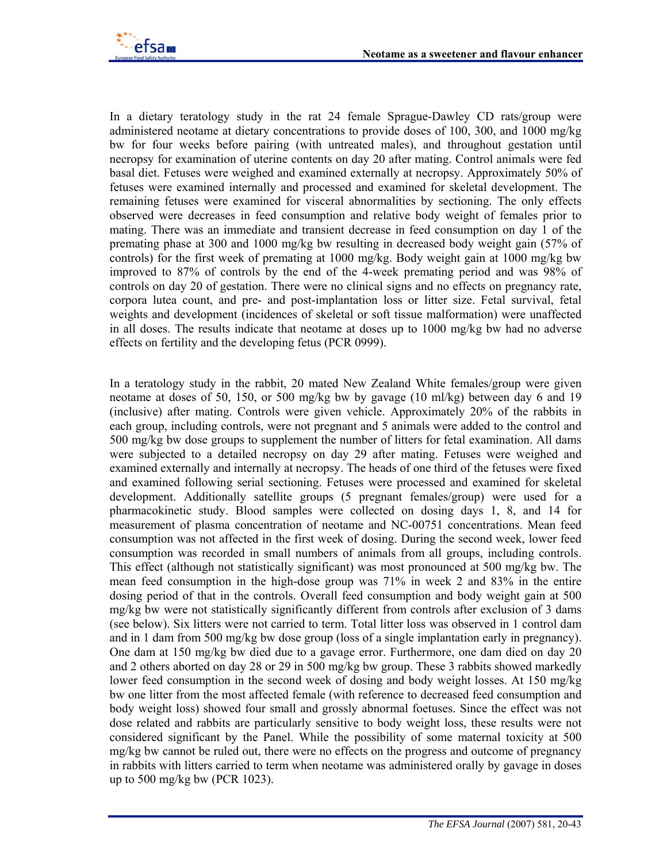

In a dietary teratology study in the rat 24 female Sprague-Dawley CD rats/group were administered neotame at dietary concentrations to provide doses of 100, 300, and 1000 mg/kg bw for four weeks before pairing (with untreated males), and throughout gestation until necropsy for examination of uterine contents on day 20 after mating. Control animals were fed basal diet. Fetuses were weighed and examined externally at necropsy. Approximately 50% of fetuses were examined internally and processed and examined for skeletal development. The remaining fetuses were examined for visceral abnormalities by sectioning. The only effects observed were decreases in feed consumption and relative body weight of females prior to mating. There was an immediate and transient decrease in feed consumption on day 1 of the premating phase at 300 and 1000 mg/kg bw resulting in decreased body weight gain (57% of controls) for the first week of premating at 1000 mg/kg. Body weight gain at 1000 mg/kg bw improved to 87% of controls by the end of the 4-week premating period and was 98% of controls on day 20 of gestation. There were no clinical signs and no effects on pregnancy rate, corpora lutea count, and pre- and post-implantation loss or litter size. Fetal survival, fetal weights and development (incidences of skeletal or soft tissue malformation) were unaffected in all doses. The results indicate that neotame at doses up to 1000 mg/kg bw had no adverse effects on fertility and the developing fetus (PCR 0999).

In a teratology study in the rabbit, 20 mated New Zealand White females/group were given neotame at doses of 50, 150, or 500 mg/kg bw by gavage (10 ml/kg) between day 6 and 19 (inclusive) after mating. Controls were given vehicle. Approximately 20% of the rabbits in each group, including controls, were not pregnant and 5 animals were added to the control and 500 mg/kg bw dose groups to supplement the number of litters for fetal examination. All dams were subjected to a detailed necropsy on day 29 after mating. Fetuses were weighed and examined externally and internally at necropsy. The heads of one third of the fetuses were fixed and examined following serial sectioning. Fetuses were processed and examined for skeletal development. Additionally satellite groups (5 pregnant females/group) were used for a pharmacokinetic study. Blood samples were collected on dosing days 1, 8, and 14 for measurement of plasma concentration of neotame and NC-00751 concentrations. Mean feed consumption was not affected in the first week of dosing. During the second week, lower feed consumption was recorded in small numbers of animals from all groups, including controls. This effect (although not statistically significant) was most pronounced at 500 mg/kg bw. The mean feed consumption in the high-dose group was 71% in week 2 and 83% in the entire dosing period of that in the controls. Overall feed consumption and body weight gain at 500 mg/kg bw were not statistically significantly different from controls after exclusion of 3 dams (see below). Six litters were not carried to term. Total litter loss was observed in 1 control dam and in 1 dam from 500 mg/kg bw dose group (loss of a single implantation early in pregnancy). One dam at 150 mg/kg bw died due to a gavage error. Furthermore, one dam died on day 20 and 2 others aborted on day 28 or 29 in 500 mg/kg bw group. These 3 rabbits showed markedly lower feed consumption in the second week of dosing and body weight losses. At 150 mg/kg bw one litter from the most affected female (with reference to decreased feed consumption and body weight loss) showed four small and grossly abnormal foetuses. Since the effect was not dose related and rabbits are particularly sensitive to body weight loss, these results were not considered significant by the Panel. While the possibility of some maternal toxicity at 500 mg/kg bw cannot be ruled out, there were no effects on the progress and outcome of pregnancy in rabbits with litters carried to term when neotame was administered orally by gavage in doses up to 500 mg/kg bw (PCR 1023).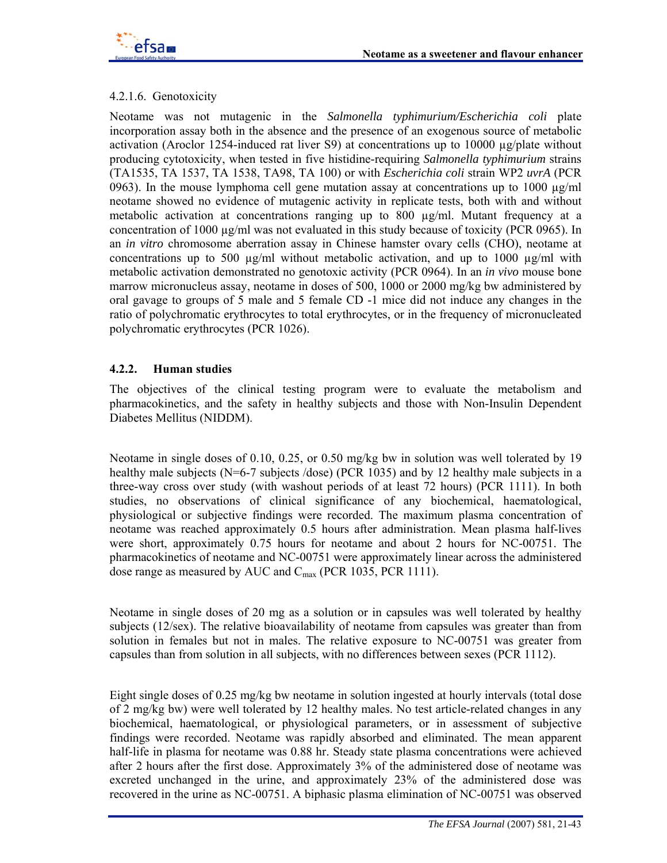

### 4.2.1.6. Genotoxicity

Neotame was not mutagenic in the *Salmonella typhimurium/Escherichia coli* plate incorporation assay both in the absence and the presence of an exogenous source of metabolic activation (Aroclor 1254-induced rat liver S9) at concentrations up to 10000 µg/plate without producing cytotoxicity, when tested in five histidine-requiring *Salmonella typhimurium* strains (TA1535, TA 1537, TA 1538, TA98, TA 100) or with *Escherichia coli* strain WP2 *uvrA* (PCR 0963). In the mouse lymphoma cell gene mutation assay at concentrations up to 1000  $\mu$ g/ml neotame showed no evidence of mutagenic activity in replicate tests, both with and without metabolic activation at concentrations ranging up to 800 µg/ml. Mutant frequency at a concentration of 1000  $\mu$ g/ml was not evaluated in this study because of toxicity (PCR 0965). In an *in vitro* chromosome aberration assay in Chinese hamster ovary cells (CHO), neotame at concentrations up to 500  $\mu$ g/ml without metabolic activation, and up to 1000  $\mu$ g/ml with metabolic activation demonstrated no genotoxic activity (PCR 0964). In an *in vivo* mouse bone marrow micronucleus assay, neotame in doses of 500, 1000 or 2000 mg/kg bw administered by oral gavage to groups of 5 male and 5 female CD -1 mice did not induce any changes in the ratio of polychromatic erythrocytes to total erythrocytes, or in the frequency of micronucleated polychromatic erythrocytes (PCR 1026).

### **4.2.2. Human studies**

The objectives of the clinical testing program were to evaluate the metabolism and pharmacokinetics, and the safety in healthy subjects and those with Non-Insulin Dependent Diabetes Mellitus (NIDDM).

Neotame in single doses of 0.10, 0.25, or 0.50 mg/kg bw in solution was well tolerated by 19 healthy male subjects (N=6-7 subjects /dose) (PCR 1035) and by 12 healthy male subjects in a three-way cross over study (with washout periods of at least 72 hours) (PCR 1111). In both studies, no observations of clinical significance of any biochemical, haematological, physiological or subjective findings were recorded. The maximum plasma concentration of neotame was reached approximately 0.5 hours after administration. Mean plasma half-lives were short, approximately 0.75 hours for neotame and about 2 hours for NC-00751. The pharmacokinetics of neotame and NC-00751 were approximately linear across the administered dose range as measured by AUC and C<sub>max</sub> (PCR 1035, PCR 1111).

Neotame in single doses of 20 mg as a solution or in capsules was well tolerated by healthy subjects (12/sex). The relative bioavailability of neotame from capsules was greater than from solution in females but not in males. The relative exposure to NC-00751 was greater from capsules than from solution in all subjects, with no differences between sexes (PCR 1112).

Eight single doses of 0.25 mg/kg bw neotame in solution ingested at hourly intervals (total dose of 2 mg/kg bw) were well tolerated by 12 healthy males. No test article-related changes in any biochemical, haematological, or physiological parameters, or in assessment of subjective findings were recorded. Neotame was rapidly absorbed and eliminated. The mean apparent half-life in plasma for neotame was 0.88 hr. Steady state plasma concentrations were achieved after 2 hours after the first dose. Approximately 3% of the administered dose of neotame was excreted unchanged in the urine, and approximately 23% of the administered dose was recovered in the urine as NC-00751. A biphasic plasma elimination of NC-00751 was observed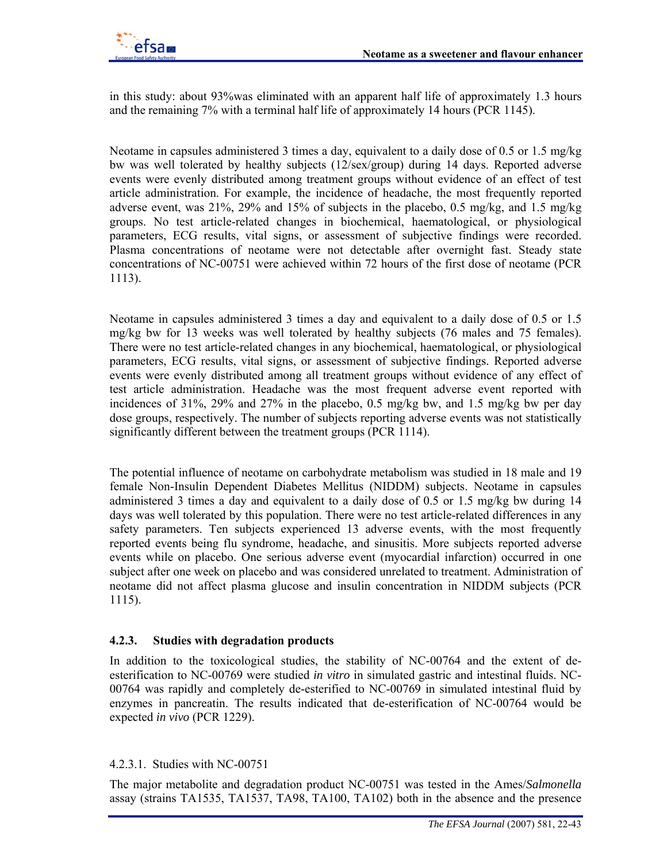

in this study: about 93%was eliminated with an apparent half life of approximately 1.3 hours and the remaining 7% with a terminal half life of approximately 14 hours (PCR 1145).

Neotame in capsules administered 3 times a day, equivalent to a daily dose of 0.5 or 1.5 mg/kg bw was well tolerated by healthy subjects (12/sex/group) during 14 days. Reported adverse events were evenly distributed among treatment groups without evidence of an effect of test article administration. For example, the incidence of headache, the most frequently reported adverse event, was 21%, 29% and 15% of subjects in the placebo, 0.5 mg/kg, and 1.5 mg/kg groups. No test article-related changes in biochemical, haematological, or physiological parameters, ECG results, vital signs, or assessment of subjective findings were recorded. Plasma concentrations of neotame were not detectable after overnight fast. Steady state concentrations of NC-00751 were achieved within 72 hours of the first dose of neotame (PCR 1113).

Neotame in capsules administered 3 times a day and equivalent to a daily dose of 0.5 or 1.5 mg/kg bw for 13 weeks was well tolerated by healthy subjects (76 males and 75 females). There were no test article-related changes in any biochemical, haematological, or physiological parameters, ECG results, vital signs, or assessment of subjective findings. Reported adverse events were evenly distributed among all treatment groups without evidence of any effect of test article administration. Headache was the most frequent adverse event reported with incidences of 31%, 29% and 27% in the placebo, 0.5 mg/kg bw, and 1.5 mg/kg bw per day dose groups, respectively. The number of subjects reporting adverse events was not statistically significantly different between the treatment groups (PCR 1114).

The potential influence of neotame on carbohydrate metabolism was studied in 18 male and 19 female Non-Insulin Dependent Diabetes Mellitus (NIDDM) subjects. Neotame in capsules administered 3 times a day and equivalent to a daily dose of 0.5 or 1.5 mg/kg bw during 14 days was well tolerated by this population. There were no test article-related differences in any safety parameters. Ten subjects experienced 13 adverse events, with the most frequently reported events being flu syndrome, headache, and sinusitis. More subjects reported adverse events while on placebo. One serious adverse event (myocardial infarction) occurred in one subject after one week on placebo and was considered unrelated to treatment. Administration of neotame did not affect plasma glucose and insulin concentration in NIDDM subjects (PCR 1115).

### **4.2.3. Studies with degradation products**

In addition to the toxicological studies, the stability of NC-00764 and the extent of deesterification to NC-00769 were studied *in vitro* in simulated gastric and intestinal fluids. NC-00764 was rapidly and completely de-esterified to NC-00769 in simulated intestinal fluid by enzymes in pancreatin. The results indicated that de-esterification of NC-00764 would be expected *in vivo* (PCR 1229).

### 4.2.3.1. Studies with NC-00751

The major metabolite and degradation product NC-00751 was tested in the Ames/*Salmonella* assay (strains TA1535, TA1537, TA98, TA100, TA102) both in the absence and the presence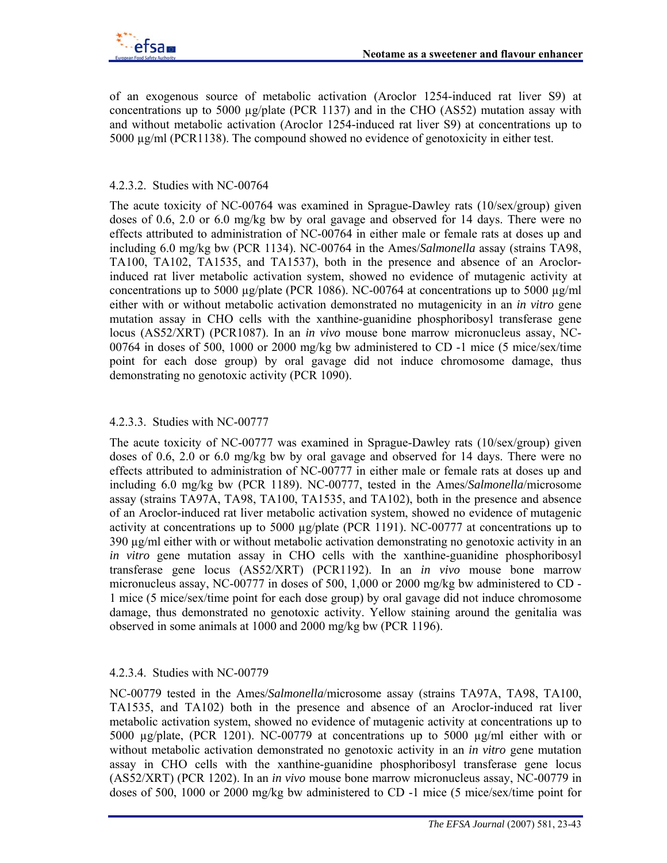of an exogenous source of metabolic activation (Aroclor 1254-induced rat liver S9) at concentrations up to 5000  $\mu$ g/plate (PCR 1137) and in the CHO (AS52) mutation assay with and without metabolic activation (Aroclor 1254-induced rat liver S9) at concentrations up to 5000 µg/ml (PCR1138). The compound showed no evidence of genotoxicity in either test.

# 4.2.3.2. Studies with NC-00764

The acute toxicity of NC-00764 was examined in Sprague-Dawley rats (10/sex/group) given doses of 0.6, 2.0 or 6.0 mg/kg bw by oral gavage and observed for 14 days. There were no effects attributed to administration of NC-00764 in either male or female rats at doses up and including 6.0 mg/kg bw (PCR 1134). NC-00764 in the Ames/*Salmonella* assay (strains TA98, TA100, TA102, TA1535, and TA1537), both in the presence and absence of an Aroclorinduced rat liver metabolic activation system, showed no evidence of mutagenic activity at concentrations up to 5000  $\mu$ g/plate (PCR 1086). NC-00764 at concentrations up to 5000  $\mu$ g/ml either with or without metabolic activation demonstrated no mutagenicity in an *in vitro* gene mutation assay in CHO cells with the xanthine-guanidine phosphoribosyl transferase gene locus (AS52/XRT) (PCR1087). In an *in vivo* mouse bone marrow micronucleus assay, NC-00764 in doses of 500, 1000 or 2000 mg/kg bw administered to CD -1 mice (5 mice/sex/time point for each dose group) by oral gavage did not induce chromosome damage, thus demonstrating no genotoxic activity (PCR 1090).

# 4.2.3.3. Studies with NC-00777

The acute toxicity of NC-00777 was examined in Sprague-Dawley rats (10/sex/group) given doses of 0.6, 2.0 or 6.0 mg/kg bw by oral gavage and observed for 14 days. There were no effects attributed to administration of NC-00777 in either male or female rats at doses up and including 6.0 mg/kg bw (PCR 1189). NC-00777, tested in the Ames/*Salmonella*/microsome assay (strains TA97A, TA98, TA100, TA1535, and TA102), both in the presence and absence of an Aroclor-induced rat liver metabolic activation system, showed no evidence of mutagenic activity at concentrations up to 5000 µg/plate (PCR 1191). NC-00777 at concentrations up to 390 µg/ml either with or without metabolic activation demonstrating no genotoxic activity in an *in vitro* gene mutation assay in CHO cells with the xanthine-guanidine phosphoribosyl transferase gene locus (AS52/XRT) (PCR1192). In an *in vivo* mouse bone marrow micronucleus assay, NC-00777 in doses of 500, 1,000 or 2000 mg/kg bw administered to CD - 1 mice (5 mice/sex/time point for each dose group) by oral gavage did not induce chromosome damage, thus demonstrated no genotoxic activity. Yellow staining around the genitalia was observed in some animals at 1000 and 2000 mg/kg bw (PCR 1196).

# 4.2.3.4. Studies with NC-00779

NC-00779 tested in the Ames/*Salmonella*/microsome assay (strains TA97A, TA98, TA100, TA1535, and TA102) both in the presence and absence of an Aroclor-induced rat liver metabolic activation system, showed no evidence of mutagenic activity at concentrations up to 5000 µg/plate, (PCR 1201). NC-00779 at concentrations up to 5000 µg/ml either with or without metabolic activation demonstrated no genotoxic activity in an *in vitro* gene mutation assay in CHO cells with the xanthine-guanidine phosphoribosyl transferase gene locus (AS52/XRT) (PCR 1202). In an *in vivo* mouse bone marrow micronucleus assay, NC-00779 in doses of 500, 1000 or 2000 mg/kg bw administered to CD -1 mice (5 mice/sex/time point for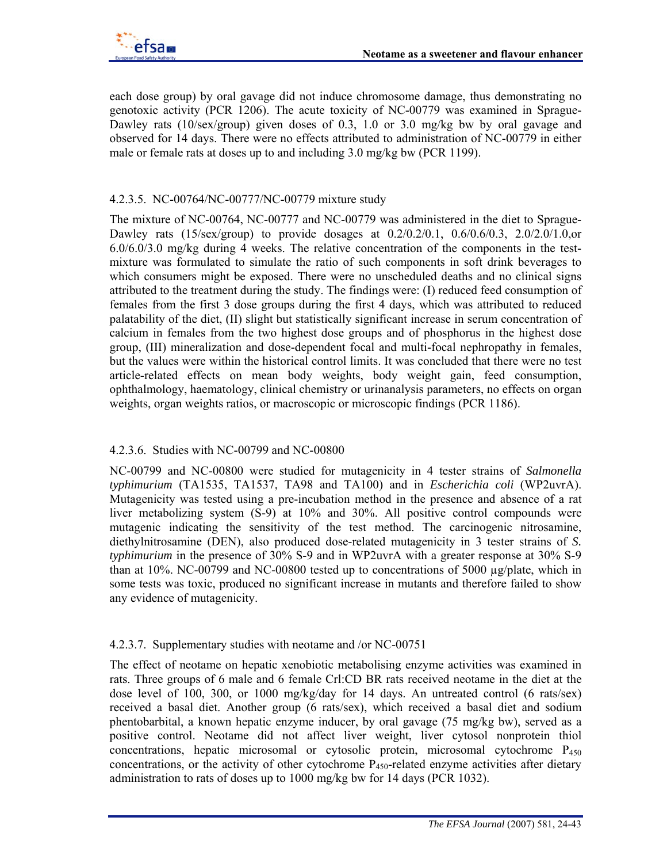each dose group) by oral gavage did not induce chromosome damage, thus demonstrating no genotoxic activity (PCR 1206). The acute toxicity of NC-00779 was examined in Sprague-Dawley rats (10/sex/group) given doses of 0.3, 1.0 or 3.0 mg/kg bw by oral gavage and observed for 14 days. There were no effects attributed to administration of NC-00779 in either male or female rats at doses up to and including 3.0 mg/kg bw (PCR 1199).

### 4.2.3.5. NC-00764/NC-00777/NC-00779 mixture study

The mixture of NC-00764, NC-00777 and NC-00779 was administered in the diet to Sprague-Dawley rats (15/sex/group) to provide dosages at 0.2/0.2/0.1, 0.6/0.6/0.3, 2.0/2.0/1.0,or 6.0/6.0/3.0 mg/kg during 4 weeks. The relative concentration of the components in the testmixture was formulated to simulate the ratio of such components in soft drink beverages to which consumers might be exposed. There were no unscheduled deaths and no clinical signs attributed to the treatment during the study. The findings were: (I) reduced feed consumption of females from the first 3 dose groups during the first 4 days, which was attributed to reduced palatability of the diet, (II) slight but statistically significant increase in serum concentration of calcium in females from the two highest dose groups and of phosphorus in the highest dose group, (III) mineralization and dose-dependent focal and multi-focal nephropathy in females, but the values were within the historical control limits. It was concluded that there were no test article-related effects on mean body weights, body weight gain, feed consumption, ophthalmology, haematology, clinical chemistry or urinanalysis parameters, no effects on organ weights, organ weights ratios, or macroscopic or microscopic findings (PCR 1186).

### 4.2.3.6. Studies with NC-00799 and NC-00800

NC-00799 and NC-00800 were studied for mutagenicity in 4 tester strains of *Salmonella typhimurium* (TA1535, TA1537, TA98 and TA100) and in *Escherichia coli* (WP2uvrA). Mutagenicity was tested using a pre-incubation method in the presence and absence of a rat liver metabolizing system (S-9) at 10% and 30%. All positive control compounds were mutagenic indicating the sensitivity of the test method. The carcinogenic nitrosamine, diethylnitrosamine (DEN), also produced dose-related mutagenicity in 3 tester strains of *S. typhimurium* in the presence of 30% S-9 and in WP2uvrA with a greater response at 30% S-9 than at 10%. NC-00799 and NC-00800 tested up to concentrations of 5000  $\mu$ g/plate, which in some tests was toxic, produced no significant increase in mutants and therefore failed to show any evidence of mutagenicity.

### 4.2.3.7. Supplementary studies with neotame and /or NC-00751

The effect of neotame on hepatic xenobiotic metabolising enzyme activities was examined in rats. Three groups of 6 male and 6 female Crl:CD BR rats received neotame in the diet at the dose level of 100, 300, or 1000 mg/kg/day for 14 days. An untreated control (6 rats/sex) received a basal diet. Another group (6 rats/sex), which received a basal diet and sodium phentobarbital, a known hepatic enzyme inducer, by oral gavage (75 mg/kg bw), served as a positive control. Neotame did not affect liver weight, liver cytosol nonprotein thiol concentrations, hepatic microsomal or cytosolic protein, microsomal cytochrome  $P_{450}$ concentrations, or the activity of other cytochrome  $P_{450}$ -related enzyme activities after dietary administration to rats of doses up to 1000 mg/kg bw for 14 days (PCR 1032).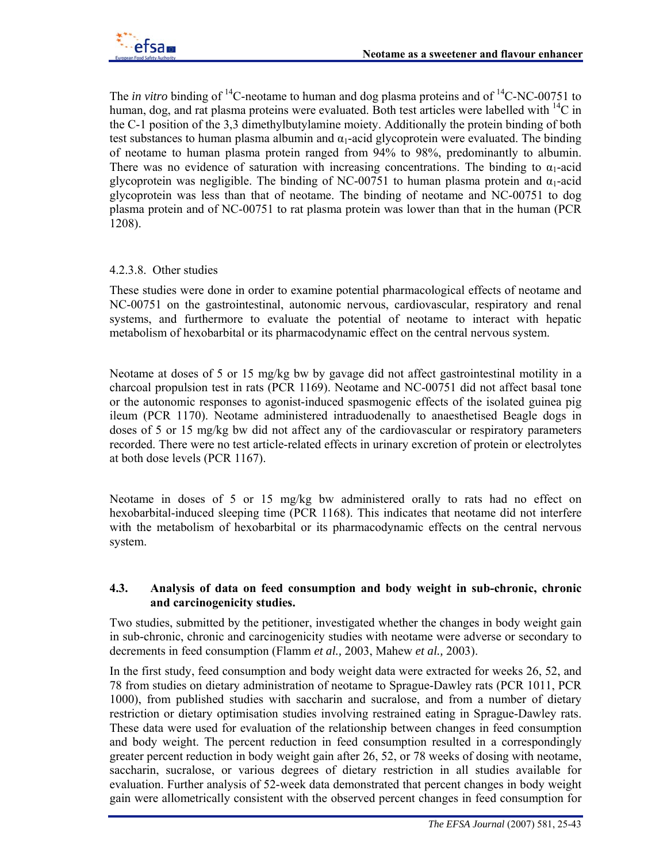The *in vitro* binding of <sup>14</sup>C-neotame to human and dog plasma proteins and of <sup>14</sup>C-NC-00751 to human, dog, and rat plasma proteins were evaluated. Both test articles were labelled with  $^{14}$ C in the C-1 position of the 3,3 dimethylbutylamine moiety. Additionally the protein binding of both test substances to human plasma albumin and  $\alpha_1$ -acid glycoprotein were evaluated. The binding of neotame to human plasma protein ranged from 94% to 98%, predominantly to albumin. There was no evidence of saturation with increasing concentrations. The binding to  $\alpha_1$ -acid glycoprotein was negligible. The binding of NC-00751 to human plasma protein and  $\alpha_1$ -acid glycoprotein was less than that of neotame. The binding of neotame and NC-00751 to dog plasma protein and of NC-00751 to rat plasma protein was lower than that in the human (PCR 1208).

### 4.2.3.8. Other studies

These studies were done in order to examine potential pharmacological effects of neotame and NC-00751 on the gastrointestinal, autonomic nervous, cardiovascular, respiratory and renal systems, and furthermore to evaluate the potential of neotame to interact with hepatic metabolism of hexobarbital or its pharmacodynamic effect on the central nervous system.

Neotame at doses of 5 or 15 mg/kg bw by gavage did not affect gastrointestinal motility in a charcoal propulsion test in rats (PCR 1169). Neotame and NC-00751 did not affect basal tone or the autonomic responses to agonist-induced spasmogenic effects of the isolated guinea pig ileum (PCR 1170). Neotame administered intraduodenally to anaesthetised Beagle dogs in doses of 5 or 15 mg/kg bw did not affect any of the cardiovascular or respiratory parameters recorded. There were no test article-related effects in urinary excretion of protein or electrolytes at both dose levels (PCR 1167).

Neotame in doses of 5 or 15 mg/kg bw administered orally to rats had no effect on hexobarbital-induced sleeping time (PCR 1168). This indicates that neotame did not interfere with the metabolism of hexobarbital or its pharmacodynamic effects on the central nervous system.

#### **4.3. Analysis of data on feed consumption and body weight in sub-chronic, chronic and carcinogenicity studies.**

Two studies, submitted by the petitioner, investigated whether the changes in body weight gain in sub-chronic, chronic and carcinogenicity studies with neotame were adverse or secondary to decrements in feed consumption (Flamm *et al.,* 2003, Mahew *et al.,* 2003).

In the first study, feed consumption and body weight data were extracted for weeks 26, 52, and 78 from studies on dietary administration of neotame to Sprague-Dawley rats (PCR 1011, PCR 1000), from published studies with saccharin and sucralose, and from a number of dietary restriction or dietary optimisation studies involving restrained eating in Sprague-Dawley rats. These data were used for evaluation of the relationship between changes in feed consumption and body weight. The percent reduction in feed consumption resulted in a correspondingly greater percent reduction in body weight gain after 26, 52, or 78 weeks of dosing with neotame, saccharin, sucralose, or various degrees of dietary restriction in all studies available for evaluation. Further analysis of 52-week data demonstrated that percent changes in body weight gain were allometrically consistent with the observed percent changes in feed consumption for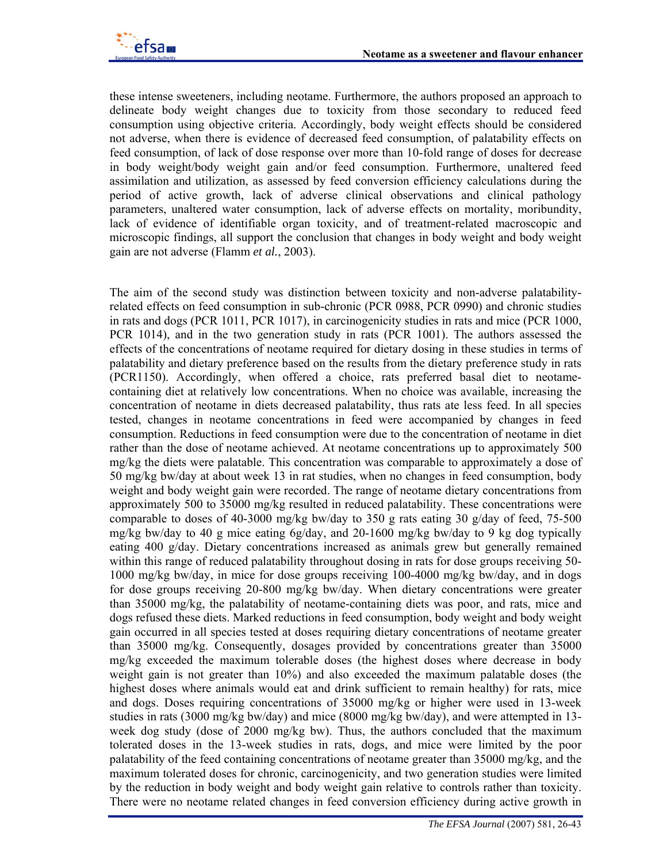these intense sweeteners, including neotame. Furthermore, the authors proposed an approach to delineate body weight changes due to toxicity from those secondary to reduced feed consumption using objective criteria. Accordingly, body weight effects should be considered not adverse, when there is evidence of decreased feed consumption, of palatability effects on feed consumption, of lack of dose response over more than 10-fold range of doses for decrease in body weight/body weight gain and/or feed consumption. Furthermore, unaltered feed assimilation and utilization, as assessed by feed conversion efficiency calculations during the period of active growth, lack of adverse clinical observations and clinical pathology parameters, unaltered water consumption, lack of adverse effects on mortality, moribundity, lack of evidence of identifiable organ toxicity, and of treatment-related macroscopic and microscopic findings, all support the conclusion that changes in body weight and body weight gain are not adverse (Flamm *et al.*, 2003).

The aim of the second study was distinction between toxicity and non-adverse palatabilityrelated effects on feed consumption in sub-chronic (PCR 0988, PCR 0990) and chronic studies in rats and dogs (PCR 1011, PCR 1017), in carcinogenicity studies in rats and mice (PCR 1000, PCR 1014), and in the two generation study in rats (PCR 1001). The authors assessed the effects of the concentrations of neotame required for dietary dosing in these studies in terms of palatability and dietary preference based on the results from the dietary preference study in rats (PCR1150). Accordingly, when offered a choice, rats preferred basal diet to neotamecontaining diet at relatively low concentrations. When no choice was available, increasing the concentration of neotame in diets decreased palatability, thus rats ate less feed. In all species tested, changes in neotame concentrations in feed were accompanied by changes in feed consumption. Reductions in feed consumption were due to the concentration of neotame in diet rather than the dose of neotame achieved. At neotame concentrations up to approximately 500 mg/kg the diets were palatable. This concentration was comparable to approximately a dose of 50 mg/kg bw/day at about week 13 in rat studies, when no changes in feed consumption, body weight and body weight gain were recorded. The range of neotame dietary concentrations from approximately 500 to 35000 mg/kg resulted in reduced palatability. These concentrations were comparable to doses of 40-3000 mg/kg bw/day to 350 g rats eating 30 g/day of feed, 75-500 mg/kg bw/day to 40 g mice eating 6g/day, and 20-1600 mg/kg bw/day to 9 kg dog typically eating 400 g/day. Dietary concentrations increased as animals grew but generally remained within this range of reduced palatability throughout dosing in rats for dose groups receiving 50- 1000 mg/kg bw/day, in mice for dose groups receiving 100-4000 mg/kg bw/day, and in dogs for dose groups receiving 20-800 mg/kg bw/day. When dietary concentrations were greater than 35000 mg/kg, the palatability of neotame-containing diets was poor, and rats, mice and dogs refused these diets. Marked reductions in feed consumption, body weight and body weight gain occurred in all species tested at doses requiring dietary concentrations of neotame greater than 35000 mg/kg. Consequently, dosages provided by concentrations greater than 35000 mg/kg exceeded the maximum tolerable doses (the highest doses where decrease in body weight gain is not greater than 10%) and also exceeded the maximum palatable doses (the highest doses where animals would eat and drink sufficient to remain healthy) for rats, mice and dogs. Doses requiring concentrations of 35000 mg/kg or higher were used in 13-week studies in rats (3000 mg/kg bw/day) and mice (8000 mg/kg bw/day), and were attempted in 13 week dog study (dose of 2000 mg/kg bw). Thus, the authors concluded that the maximum tolerated doses in the 13-week studies in rats, dogs, and mice were limited by the poor palatability of the feed containing concentrations of neotame greater than 35000 mg/kg, and the maximum tolerated doses for chronic, carcinogenicity, and two generation studies were limited by the reduction in body weight and body weight gain relative to controls rather than toxicity. There were no neotame related changes in feed conversion efficiency during active growth in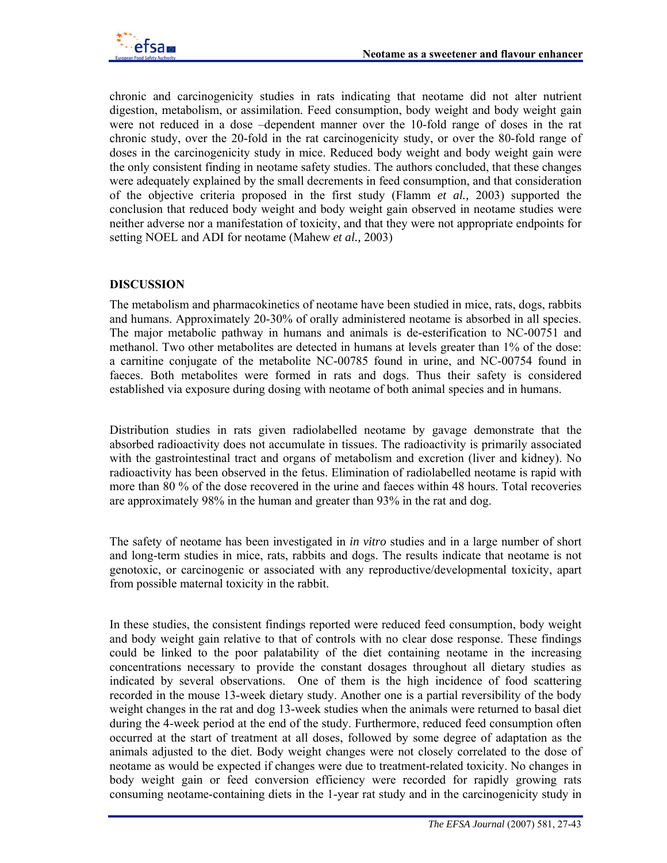chronic and carcinogenicity studies in rats indicating that neotame did not alter nutrient digestion, metabolism, or assimilation. Feed consumption, body weight and body weight gain were not reduced in a dose –dependent manner over the 10-fold range of doses in the rat chronic study, over the 20-fold in the rat carcinogenicity study, or over the 80-fold range of doses in the carcinogenicity study in mice. Reduced body weight and body weight gain were the only consistent finding in neotame safety studies. The authors concluded, that these changes were adequately explained by the small decrements in feed consumption, and that consideration of the objective criteria proposed in the first study (Flamm *et al.,* 2003) supported the conclusion that reduced body weight and body weight gain observed in neotame studies were neither adverse nor a manifestation of toxicity, and that they were not appropriate endpoints for setting NOEL and ADI for neotame (Mahew *et al.,* 2003)

# **DISCUSSION**

The metabolism and pharmacokinetics of neotame have been studied in mice, rats, dogs, rabbits and humans. Approximately 20-30% of orally administered neotame is absorbed in all species. The major metabolic pathway in humans and animals is de-esterification to NC-00751 and methanol. Two other metabolites are detected in humans at levels greater than 1% of the dose: a carnitine conjugate of the metabolite NC-00785 found in urine, and NC-00754 found in faeces. Both metabolites were formed in rats and dogs. Thus their safety is considered established via exposure during dosing with neotame of both animal species and in humans.

Distribution studies in rats given radiolabelled neotame by gavage demonstrate that the absorbed radioactivity does not accumulate in tissues. The radioactivity is primarily associated with the gastrointestinal tract and organs of metabolism and excretion (liver and kidney). No radioactivity has been observed in the fetus. Elimination of radiolabelled neotame is rapid with more than 80 % of the dose recovered in the urine and faeces within 48 hours. Total recoveries are approximately 98% in the human and greater than 93% in the rat and dog.

The safety of neotame has been investigated in *in vitro* studies and in a large number of short and long-term studies in mice, rats, rabbits and dogs. The results indicate that neotame is not genotoxic, or carcinogenic or associated with any reproductive/developmental toxicity, apart from possible maternal toxicity in the rabbit.

In these studies, the consistent findings reported were reduced feed consumption, body weight and body weight gain relative to that of controls with no clear dose response. These findings could be linked to the poor palatability of the diet containing neotame in the increasing concentrations necessary to provide the constant dosages throughout all dietary studies as indicated by several observations. One of them is the high incidence of food scattering recorded in the mouse 13-week dietary study. Another one is a partial reversibility of the body weight changes in the rat and dog 13-week studies when the animals were returned to basal diet during the 4-week period at the end of the study. Furthermore, reduced feed consumption often occurred at the start of treatment at all doses, followed by some degree of adaptation as the animals adjusted to the diet. Body weight changes were not closely correlated to the dose of neotame as would be expected if changes were due to treatment-related toxicity. No changes in body weight gain or feed conversion efficiency were recorded for rapidly growing rats consuming neotame-containing diets in the 1-year rat study and in the carcinogenicity study in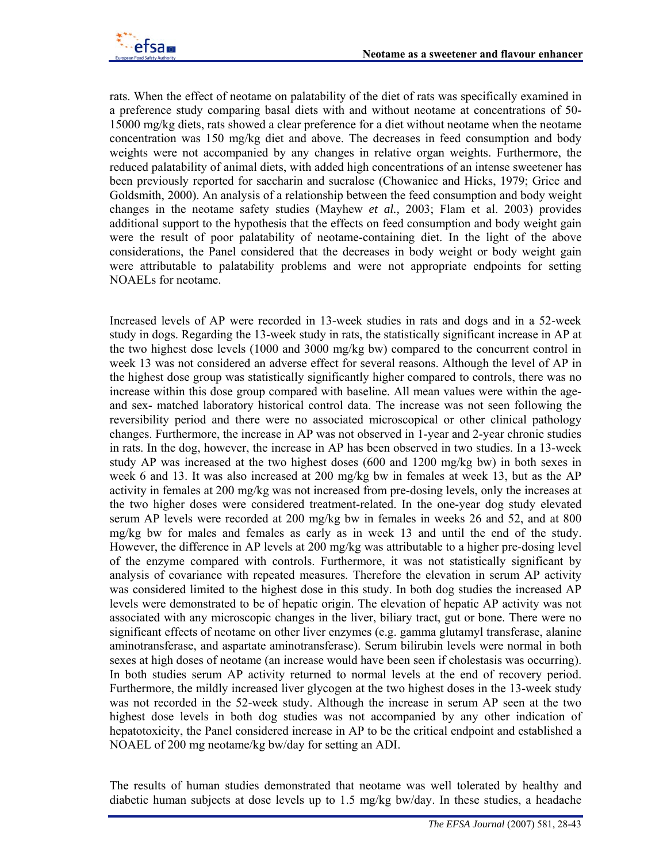rats. When the effect of neotame on palatability of the diet of rats was specifically examined in a preference study comparing basal diets with and without neotame at concentrations of 50- 15000 mg/kg diets, rats showed a clear preference for a diet without neotame when the neotame concentration was 150 mg/kg diet and above. The decreases in feed consumption and body weights were not accompanied by any changes in relative organ weights. Furthermore, the reduced palatability of animal diets, with added high concentrations of an intense sweetener has been previously reported for saccharin and sucralose (Chowaniec and Hicks, 1979; Grice and Goldsmith, 2000). An analysis of a relationship between the feed consumption and body weight changes in the neotame safety studies (Mayhew *et al.,* 2003; Flam et al. 2003) provides additional support to the hypothesis that the effects on feed consumption and body weight gain were the result of poor palatability of neotame-containing diet. In the light of the above considerations, the Panel considered that the decreases in body weight or body weight gain were attributable to palatability problems and were not appropriate endpoints for setting NOAELs for neotame.

Increased levels of AP were recorded in 13-week studies in rats and dogs and in a 52-week study in dogs. Regarding the 13-week study in rats, the statistically significant increase in AP at the two highest dose levels (1000 and 3000 mg/kg bw) compared to the concurrent control in week 13 was not considered an adverse effect for several reasons. Although the level of AP in the highest dose group was statistically significantly higher compared to controls, there was no increase within this dose group compared with baseline. All mean values were within the ageand sex- matched laboratory historical control data. The increase was not seen following the reversibility period and there were no associated microscopical or other clinical pathology changes. Furthermore, the increase in AP was not observed in 1-year and 2-year chronic studies in rats. In the dog, however, the increase in AP has been observed in two studies. In a 13-week study AP was increased at the two highest doses (600 and 1200 mg/kg bw) in both sexes in week 6 and 13. It was also increased at 200 mg/kg bw in females at week 13, but as the AP activity in females at 200 mg/kg was not increased from pre-dosing levels, only the increases at the two higher doses were considered treatment-related. In the one-year dog study elevated serum AP levels were recorded at 200 mg/kg bw in females in weeks 26 and 52, and at 800 mg/kg bw for males and females as early as in week 13 and until the end of the study. However, the difference in AP levels at 200 mg/kg was attributable to a higher pre-dosing level of the enzyme compared with controls. Furthermore, it was not statistically significant by analysis of covariance with repeated measures. Therefore the elevation in serum AP activity was considered limited to the highest dose in this study. In both dog studies the increased AP levels were demonstrated to be of hepatic origin. The elevation of hepatic AP activity was not associated with any microscopic changes in the liver, biliary tract, gut or bone. There were no significant effects of neotame on other liver enzymes (e.g. gamma glutamyl transferase, alanine aminotransferase, and aspartate aminotransferase). Serum bilirubin levels were normal in both sexes at high doses of neotame (an increase would have been seen if cholestasis was occurring). In both studies serum AP activity returned to normal levels at the end of recovery period. Furthermore, the mildly increased liver glycogen at the two highest doses in the 13-week study was not recorded in the 52-week study. Although the increase in serum AP seen at the two highest dose levels in both dog studies was not accompanied by any other indication of hepatotoxicity, the Panel considered increase in AP to be the critical endpoint and established a NOAEL of 200 mg neotame/kg bw/day for setting an ADI.

The results of human studies demonstrated that neotame was well tolerated by healthy and diabetic human subjects at dose levels up to 1.5 mg/kg bw/day. In these studies, a headache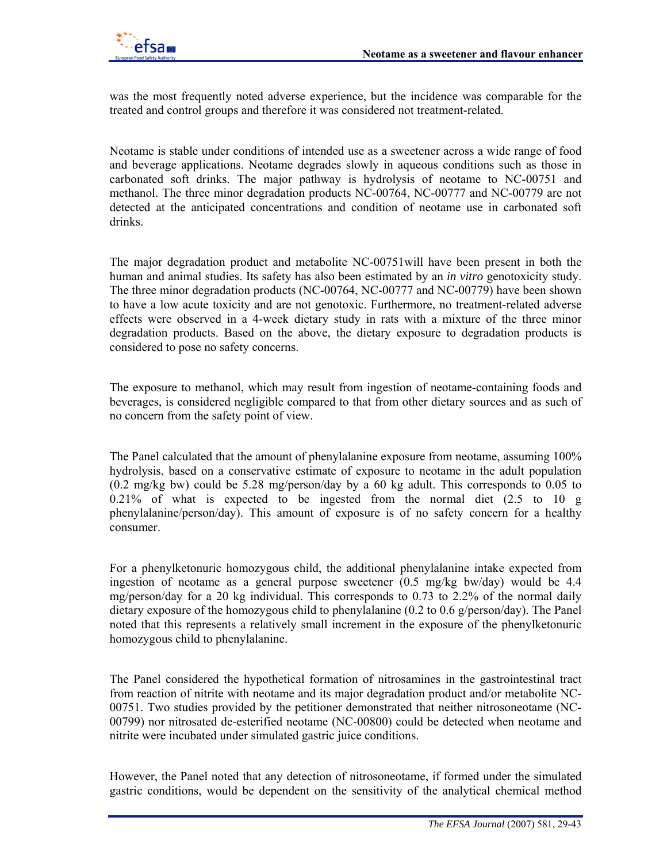

was the most frequently noted adverse experience, but the incidence was comparable for the treated and control groups and therefore it was considered not treatment-related.

Neotame is stable under conditions of intended use as a sweetener across a wide range of food and beverage applications. Neotame degrades slowly in aqueous conditions such as those in carbonated soft drinks. The major pathway is hydrolysis of neotame to NC-00751 and methanol. The three minor degradation products NC-00764, NC-00777 and NC-00779 are not detected at the anticipated concentrations and condition of neotame use in carbonated soft drinks.

The major degradation product and metabolite NC-00751will have been present in both the human and animal studies. Its safety has also been estimated by an *in vitro* genotoxicity study. The three minor degradation products (NC-00764, NC-00777 and NC-00779) have been shown to have a low acute toxicity and are not genotoxic. Furthermore, no treatment-related adverse effects were observed in a 4-week dietary study in rats with a mixture of the three minor degradation products. Based on the above, the dietary exposure to degradation products is considered to pose no safety concerns.

The exposure to methanol, which may result from ingestion of neotame-containing foods and beverages, is considered negligible compared to that from other dietary sources and as such of no concern from the safety point of view.

The Panel calculated that the amount of phenylalanine exposure from neotame, assuming 100% hydrolysis, based on a conservative estimate of exposure to neotame in the adult population (0.2 mg/kg bw) could be 5.28 mg/person/day by a 60 kg adult. This corresponds to 0.05 to 0.21% of what is expected to be ingested from the normal diet (2.5 to 10 g phenylalanine/person/day). This amount of exposure is of no safety concern for a healthy consumer.

For a phenylketonuric homozygous child, the additional phenylalanine intake expected from ingestion of neotame as a general purpose sweetener (0.5 mg/kg bw/day) would be 4.4 mg/person/day for a 20 kg individual. This corresponds to 0.73 to 2.2% of the normal daily dietary exposure of the homozygous child to phenylalanine (0.2 to 0.6 g/person/day). The Panel noted that this represents a relatively small increment in the exposure of the phenylketonuric homozygous child to phenylalanine.

The Panel considered the hypothetical formation of nitrosamines in the gastrointestinal tract from reaction of nitrite with neotame and its major degradation product and/or metabolite NC-00751. Two studies provided by the petitioner demonstrated that neither nitrosoneotame (NC-00799) nor nitrosated de-esterified neotame (NC-00800) could be detected when neotame and nitrite were incubated under simulated gastric juice conditions.

However, the Panel noted that any detection of nitrosoneotame, if formed under the simulated gastric conditions, would be dependent on the sensitivity of the analytical chemical method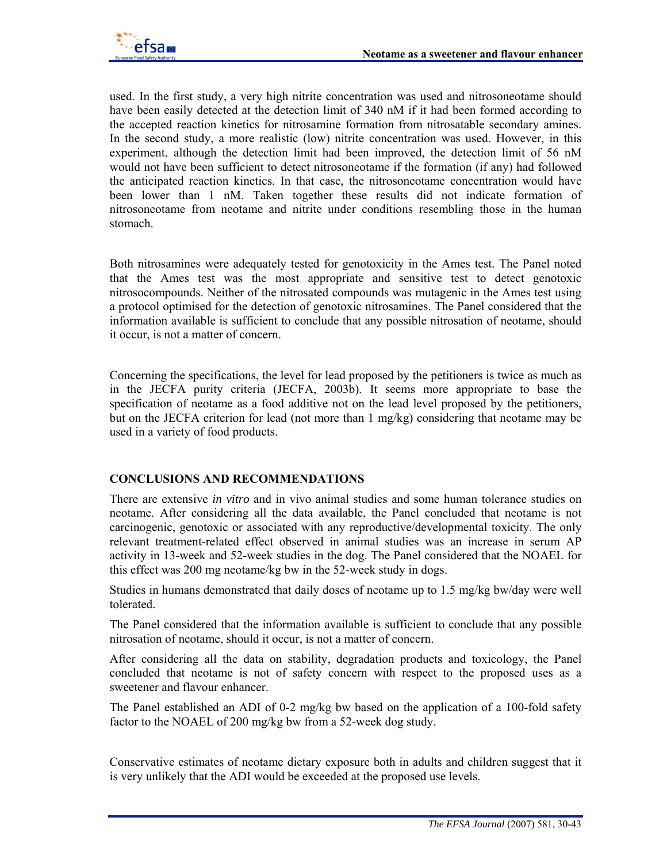

used. In the first study, a very high nitrite concentration was used and nitrosoneotame should have been easily detected at the detection limit of 340 nM if it had been formed according to the accepted reaction kinetics for nitrosamine formation from nitrosatable secondary amines. In the second study, a more realistic (low) nitrite concentration was used. However, in this experiment, although the detection limit had been improved, the detection limit of 56 nM would not have been sufficient to detect nitrosoneotame if the formation (if any) had followed the anticipated reaction kinetics. In that case, the nitrosoneotame concentration would have been lower than 1 nM. Taken together these results did not indicate formation of nitrosoneotame from neotame and nitrite under conditions resembling those in the human stomach.

Both nitrosamines were adequately tested for genotoxicity in the Ames test. The Panel noted that the Ames test was the most appropriate and sensitive test to detect genotoxic nitrosocompounds. Neither of the nitrosated compounds was mutagenic in the Ames test using a protocol optimised for the detection of genotoxic nitrosamines. The Panel considered that the information available is sufficient to conclude that any possible nitrosation of neotame, should it occur, is not a matter of concern.

Concerning the specifications, the level for lead proposed by the petitioners is twice as much as in the JECFA purity criteria (JECFA, 2003b)*.* It seems more appropriate to base the specification of neotame as a food additive not on the lead level proposed by the petitioners, but on the JECFA criterion for lead (not more than 1 mg/kg) considering that neotame may be used in a variety of food products.

### **CONCLUSIONS AND RECOMMENDATIONS**

There are extensive *in vitro* and in vivo animal studies and some human tolerance studies on neotame. After considering all the data available, the Panel concluded that neotame is not carcinogenic, genotoxic or associated with any reproductive/developmental toxicity. The only relevant treatment-related effect observed in animal studies was an increase in serum AP activity in 13-week and 52-week studies in the dog. The Panel considered that the NOAEL for this effect was 200 mg neotame/kg bw in the 52-week study in dogs.

Studies in humans demonstrated that daily doses of neotame up to 1.5 mg/kg bw/day were well tolerated.

The Panel considered that the information available is sufficient to conclude that any possible nitrosation of neotame, should it occur, is not a matter of concern.

After considering all the data on stability, degradation products and toxicology, the Panel concluded that neotame is not of safety concern with respect to the proposed uses as a sweetener and flavour enhancer.

The Panel established an ADI of 0-2 mg/kg bw based on the application of a 100-fold safety factor to the NOAEL of 200 mg/kg bw from a 52-week dog study.

Conservative estimates of neotame dietary exposure both in adults and children suggest that it is very unlikely that the ADI would be exceeded at the proposed use levels.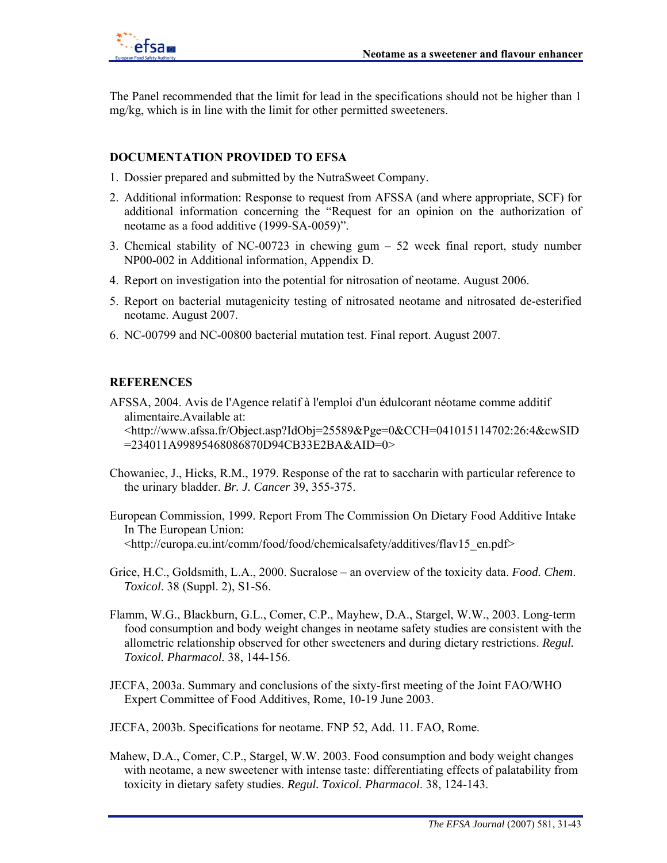The Panel recommended that the limit for lead in the specifications should not be higher than 1 mg/kg, which is in line with the limit for other permitted sweeteners.

### **DOCUMENTATION PROVIDED TO EFSA**

- 1. Dossier prepared and submitted by the NutraSweet Company.
- 2. Additional information: Response to request from AFSSA (and where appropriate, SCF) for additional information concerning the "Request for an opinion on the authorization of neotame as a food additive (1999-SA-0059)".
- 3. Chemical stability of NC-00723 in chewing gum 52 week final report, study number NP00-002 in Additional information, Appendix D.
- 4. Report on investigation into the potential for nitrosation of neotame. August 2006.
- 5. Report on bacterial mutagenicity testing of nitrosated neotame and nitrosated de-esterified neotame. August 2007.
- 6. NC-00799 and NC-00800 bacterial mutation test. Final report. August 2007.

### **REFERENCES**

AFSSA, 2004. Avis de l'Agence relatif à l'emploi d'un édulcorant néotame comme additif alimentaire.Available at: <http://www.afssa.fr/Object.asp?IdObj=25589&Pge=0&CCH=041015114702:26:4&cwSID =234011A99895468086870D94CB33E2BA&AID=0>

- Chowaniec, J., Hicks, R.M., 1979. Response of the rat to saccharin with particular reference to the urinary bladder. *Br. J. Cancer* 39, 355-375.
- European Commission, 1999. Report From The Commission On Dietary Food Additive Intake In The European Union: <http://europa.eu.int/comm/food/food/chemicalsafety/additives/flav15\_en.pdf>
- Grice, H.C., Goldsmith, L.A., 2000. Sucralose an overview of the toxicity data. *Food. Chem*. *Toxicol*. 38 (Suppl. 2), S1-S6.
- Flamm, W.G., Blackburn, G.L., Comer, C.P., Mayhew, D.A., Stargel, W.W., 2003. Long-term food consumption and body weight changes in neotame safety studies are consistent with the allometric relationship observed for other sweeteners and during dietary restrictions. *Regul. Toxicol. Pharmacol.* 38, 144-156.
- JECFA, 2003a. Summary and conclusions of the sixty-first meeting of the Joint FAO/WHO Expert Committee of Food Additives, Rome, 10-19 June 2003.
- JECFA, 2003b. Specifications for neotame. FNP 52, Add. 11. FAO, Rome.
- Mahew, D.A., Comer, C.P., Stargel, W.W. 2003. Food consumption and body weight changes with neotame, a new sweetener with intense taste: differentiating effects of palatability from toxicity in dietary safety studies. *Regul. Toxicol. Pharmacol*. 38, 124-143.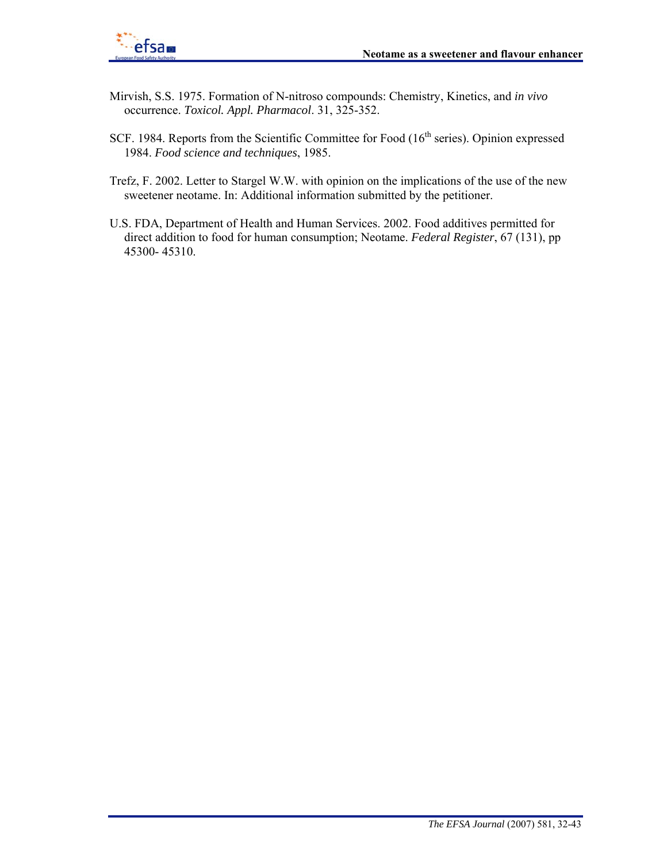

- Mirvish, S.S. 1975. Formation of N-nitroso compounds: Chemistry, Kinetics, and *in vivo* occurrence. *Toxicol. Appl. Pharmacol*. 31, 325-352.
- SCF. 1984. Reports from the Scientific Committee for Food (16<sup>th</sup> series). Opinion expressed 1984. *Food science and techniques*, 1985.
- Trefz, F. 2002. Letter to Stargel W.W. with opinion on the implications of the use of the new sweetener neotame. In: Additional information submitted by the petitioner.
- U.S. FDA, Department of Health and Human Services. 2002. Food additives permitted for direct addition to food for human consumption; Neotame. *Federal Register*, 67 (131), pp 45300- 45310.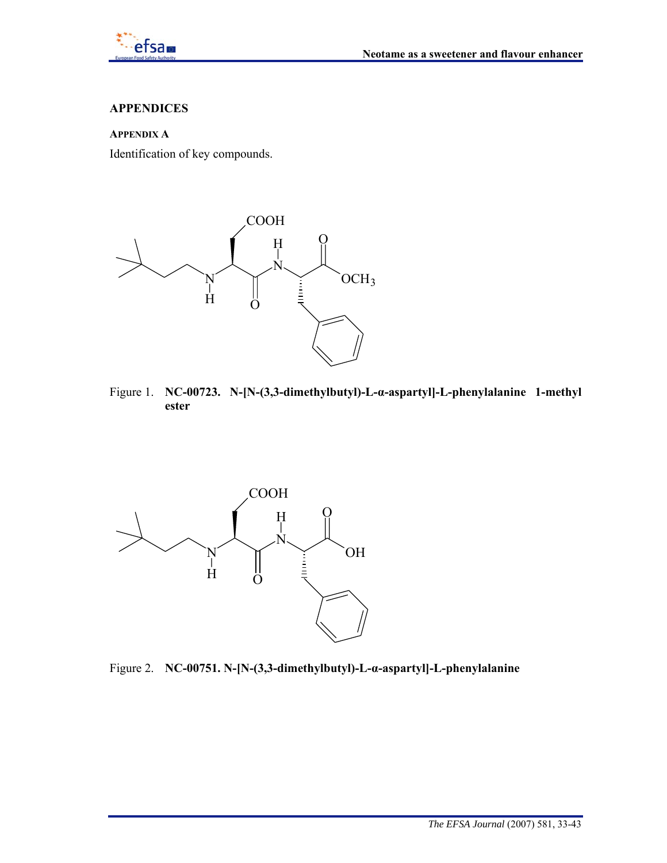

### **APPENDICES**

### **APPENDIX A**

Identification of key compounds.



Figure 1. **NC-00723. N-[N-(3,3-dimethylbutyl)-L-α-aspartyl]-L-phenylalanine 1-methyl ester** 



Figure 2. **NC-00751. N-[N-(3,3-dimethylbutyl)-L-α-aspartyl]-L-phenylalanine**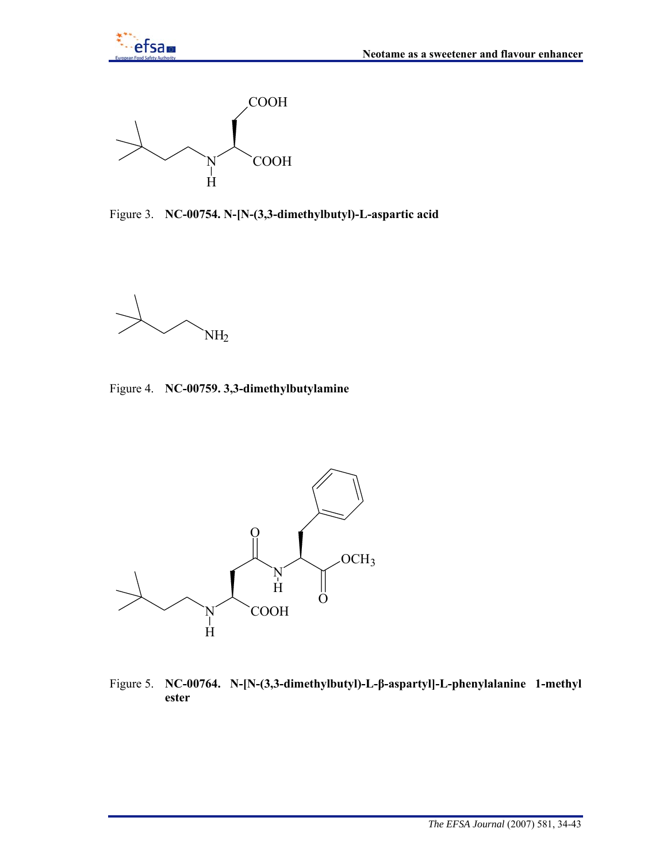



Figure 3. **NC-00754. N-[N-(3,3-dimethylbutyl)-L-aspartic acid** 

 $NH<sub>2</sub>$ 

Figure 4. **NC-00759. 3,3-dimethylbutylamine** 



Figure 5. **NC-00764. N-[N-(3,3-dimethylbutyl)-L-β-aspartyl]-L-phenylalanine 1-methyl ester**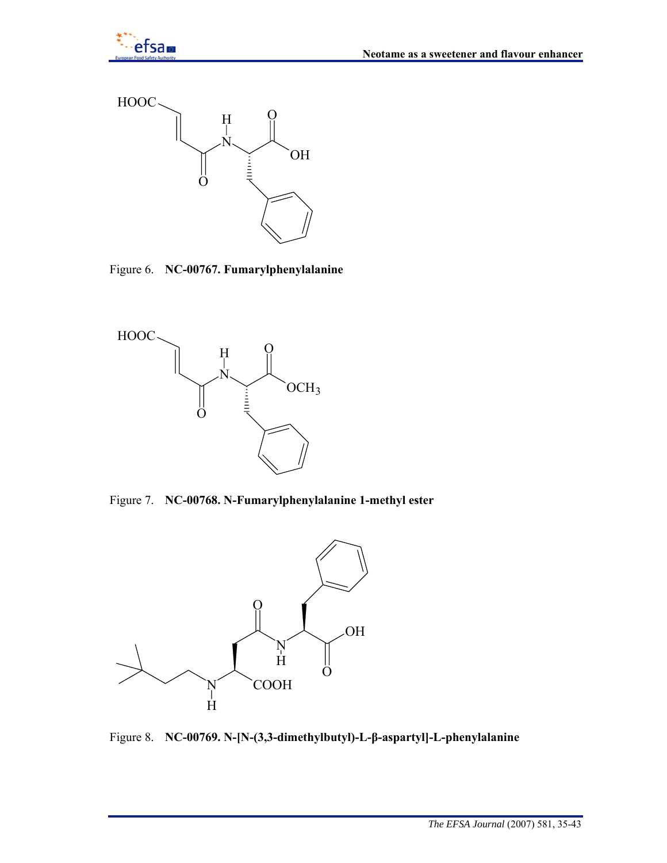



Figure 6. **NC-00767. Fumarylphenylalanine** 



Figure 7. **NC-00768. N-Fumarylphenylalanine 1-methyl ester** 



Figure 8. **NC-00769. N-[N-(3,3-dimethylbutyl)-L-β-aspartyl]-L-phenylalanine**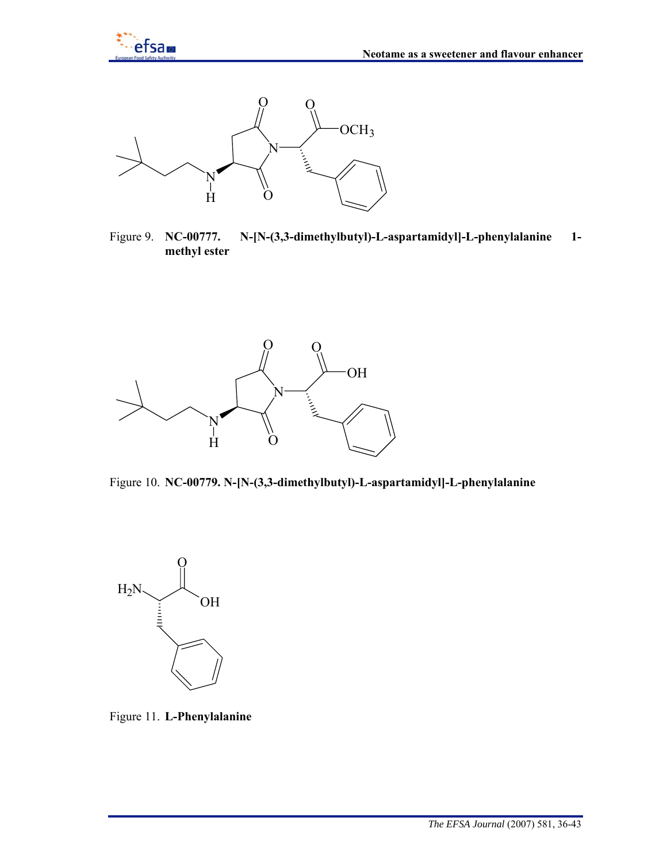



Figure 9. **NC-00777. N-[N-(3,3-dimethylbutyl)-L-aspartamidyl]-L-phenylalanine 1 methyl ester** 



Figure 10. **NC-00779. N-[N-(3,3-dimethylbutyl)-L-aspartamidyl]-L-phenylalanine** 



Figure 11. **L-Phenylalanine**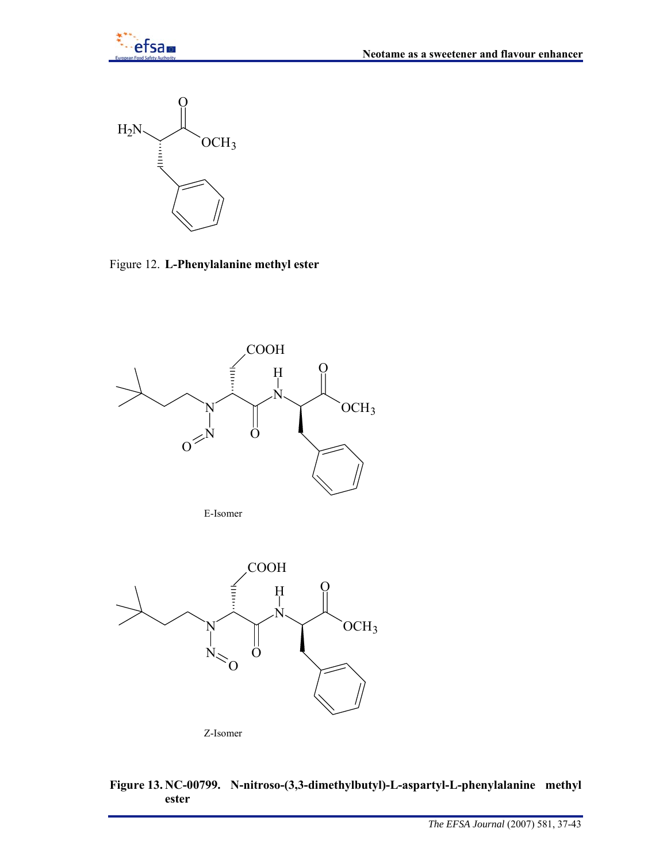

Figure 12. **L-Phenylalanine methyl ester** 



E-Isomer





# **Figure 13. NC-00799. N-nitroso-(3,3-dimethylbutyl)-L-aspartyl-L-phenylalanine methyl ester**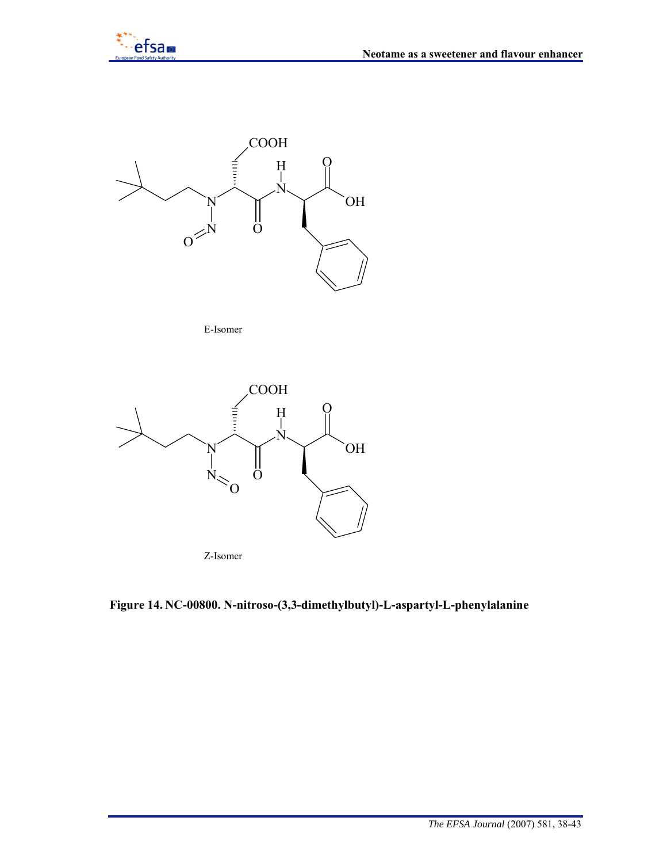



E-Isomer



**Figure 14. NC-00800. N-nitroso-(3,3-dimethylbutyl)-L-aspartyl-L-phenylalanine**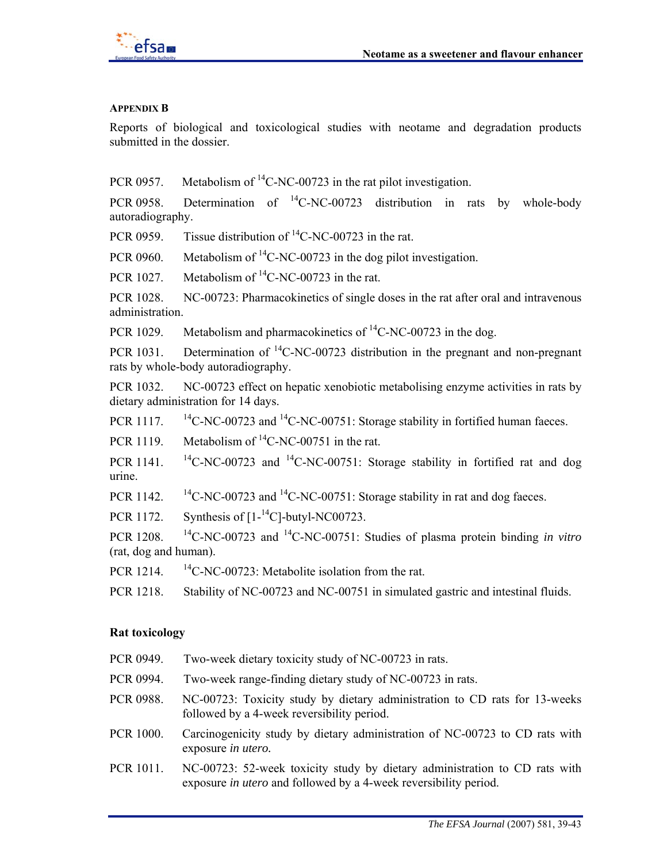

#### **APPENDIX B**

Reports of biological and toxicological studies with neotame and degradation products submitted in the dossier.

PCR 0957. Metabolism of  ${}^{14}$ C-NC-00723 in the rat pilot investigation.

PCR 0958. Determination of  ${}^{14}$ C-NC-00723 distribution in rats by whole-body autoradiography.

PCR 0959. Tissue distribution of  ${}^{14}$ C-NC-00723 in the rat.

PCR 0960. Metabolism of  $^{14}$ C-NC-00723 in the dog pilot investigation.

PCR 1027. Metabolism of  ${}^{14}$ C-NC-00723 in the rat.

PCR 1028. NC-00723: Pharmacokinetics of single doses in the rat after oral and intravenous administration.

PCR 1029. Metabolism and pharmacokinetics of  ${}^{14}$ C-NC-00723 in the dog.

PCR 1031. Determination of  ${}^{14}$ C-NC-00723 distribution in the pregnant and non-pregnant rats by whole-body autoradiography.

PCR 1032. NC-00723 effect on hepatic xenobiotic metabolising enzyme activities in rats by dietary administration for 14 days.

PCR 1117. <sup>14</sup>C-NC-00723 and <sup>14</sup>C-NC-00751: Storage stability in fortified human faeces.

PCR 1119. Metabolism of  ${}^{14}$ C-NC-00751 in the rat.

PCR 1141. <sup>14</sup>C-NC-00723 and <sup>14</sup>C-NC-00751: Storage stability in fortified rat and dog urine.

PCR 1142.  $\frac{14}{C}$ -NC-00723 and  $\frac{14}{C}$ -NC-00751: Storage stability in rat and dog faeces.

PCR 1172. Synthesis of  $[1 - {}^{14}C]$ -butyl-NC00723.

PCR 1208. 14C-NC-00723 and 14C-NC-00751: Studies of plasma protein binding *in vitro* (rat, dog and human).

PCR 1214.  $^{14}$ C-NC-00723: Metabolite isolation from the rat.

PCR 1218. Stability of NC-00723 and NC-00751 in simulated gastric and intestinal fluids.

#### **Rat toxicology**

- PCR 0949. Two-week dietary toxicity study of NC-00723 in rats.
- PCR 0994. Two-week range-finding dietary study of NC-00723 in rats.
- PCR 0988. NC-00723: Toxicity study by dietary administration to CD rats for 13-weeks followed by a 4-week reversibility period.
- PCR 1000. Carcinogenicity study by dietary administration of NC-00723 to CD rats with exposure *in utero.*
- PCR 1011. NC-00723: 52-week toxicity study by dietary administration to CD rats with exposure *in utero* and followed by a 4-week reversibility period.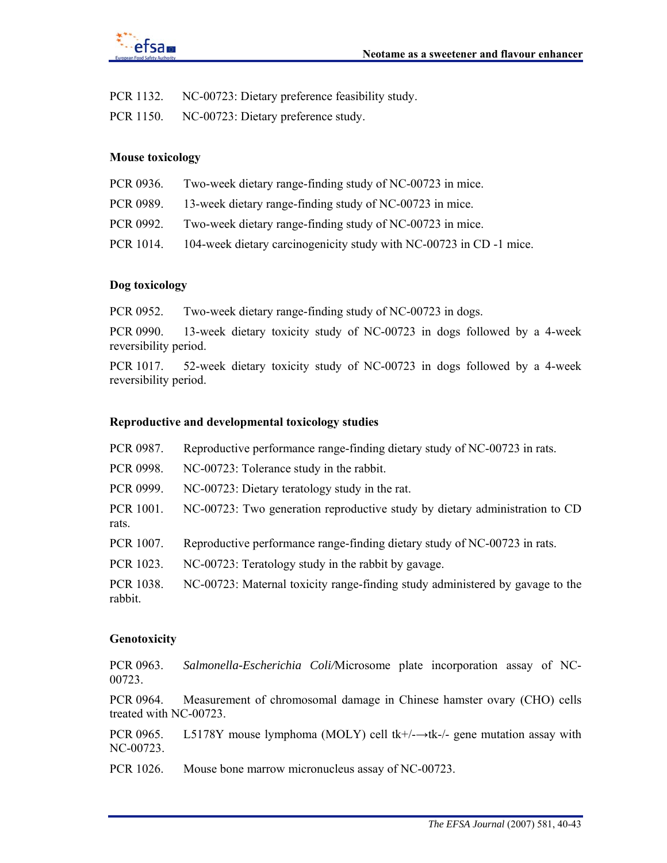

PCR 1132. NC-00723: Dietary preference feasibility study.

PCR 1150. NC-00723: Dietary preference study.

#### **Mouse toxicology**

| PCR 0936. | Two-week dietary range-finding study of NC-00723 in mice.          |
|-----------|--------------------------------------------------------------------|
| PCR 0989. | 13-week dietary range-finding study of NC-00723 in mice.           |
| PCR 0992. | Two-week dietary range-finding study of NC-00723 in mice.          |
| PCR 1014. | 104-week dietary carcinogenicity study with NC-00723 in CD-1 mice. |

#### **Dog toxicology**

PCR 0952. Two-week dietary range-finding study of NC-00723 in dogs.

PCR 0990. 13-week dietary toxicity study of NC-00723 in dogs followed by a 4-week reversibility period.

PCR 1017. 52-week dietary toxicity study of NC-00723 in dogs followed by a 4-week reversibility period.

#### **Reproductive and developmental toxicology studies**

| PCR 0987.            | Reproductive performance range-finding dietary study of NC-00723 in rats.     |
|----------------------|-------------------------------------------------------------------------------|
| PCR 0998.            | NC-00723: Tolerance study in the rabbit.                                      |
| PCR 0999.            | NC-00723: Dietary teratology study in the rat.                                |
| PCR 1001.<br>rats.   | NC-00723: Two generation reproductive study by dietary administration to CD   |
| PCR 1007.            | Reproductive performance range-finding dietary study of NC-00723 in rats.     |
| PCR 1023.            | NC-00723: Teratology study in the rabbit by gavage.                           |
| PCR 1038.<br>rabbit. | NC-00723: Maternal toxicity range-finding study administered by gavage to the |

### **Genotoxicity**

PCR 0963. *Salmonella-Escherichia Coli/*Microsome plate incorporation assay of NC-00723.

PCR 0964. Measurement of chromosomal damage in Chinese hamster ovary (CHO) cells treated with NC-00723.

PCR 0965. L5178Y mouse lymphoma (MOLY) cell tk+/-→tk-/- gene mutation assay with NC-00723.

PCR 1026. Mouse bone marrow micronucleus assay of NC-00723.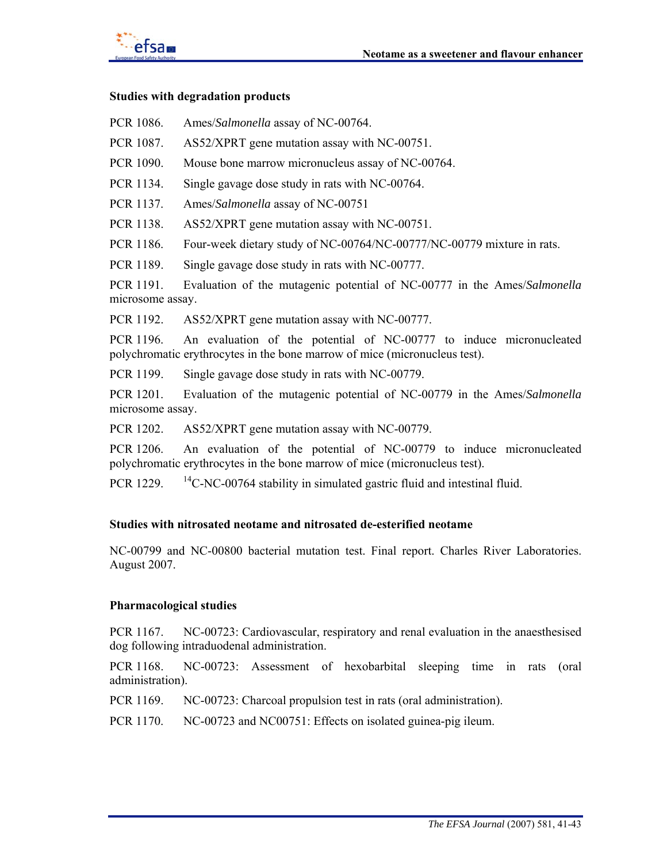

#### **Studies with degradation products**

- PCR 1086. Ames/*Salmonella* assay of NC-00764.
- PCR 1087. AS52/XPRT gene mutation assay with NC-00751.
- PCR 1090. Mouse bone marrow micronucleus assay of NC-00764.
- PCR 1134. Single gavage dose study in rats with NC-00764.
- PCR 1137. Ames/*Salmonella* assay of NC-00751
- PCR 1138. AS52/XPRT gene mutation assay with NC-00751.
- PCR 1186. Four-week dietary study of NC-00764/NC-00777/NC-00779 mixture in rats.
- PCR 1189. Single gavage dose study in rats with NC-00777.

PCR 1191. Evaluation of the mutagenic potential of NC-00777 in the Ames/*Salmonella* microsome assay.

PCR 1192. AS52/XPRT gene mutation assay with NC-00777.

PCR 1196. An evaluation of the potential of NC-00777 to induce micronucleated polychromatic erythrocytes in the bone marrow of mice (micronucleus test).

PCR 1199. Single gavage dose study in rats with NC-00779.

PCR 1201. Evaluation of the mutagenic potential of NC-00779 in the Ames/*Salmonella* microsome assay.

PCR 1202. AS52/XPRT gene mutation assay with NC-00779.

PCR 1206. An evaluation of the potential of NC-00779 to induce micronucleated polychromatic erythrocytes in the bone marrow of mice (micronucleus test).

PCR 1229.  $\frac{14C-NC-00764}{}$  stability in simulated gastric fluid and intestinal fluid.

#### **Studies with nitrosated neotame and nitrosated de-esterified neotame**

NC-00799 and NC-00800 bacterial mutation test. Final report. Charles River Laboratories. August 2007.

#### **Pharmacological studies**

PCR 1167. NC-00723: Cardiovascular, respiratory and renal evaluation in the anaesthesised dog following intraduodenal administration.

PCR 1168. NC-00723: Assessment of hexobarbital sleeping time in rats (oral administration).

PCR 1169. NC-00723: Charcoal propulsion test in rats (oral administration).

PCR 1170. NC-00723 and NC00751: Effects on isolated guinea-pig ileum.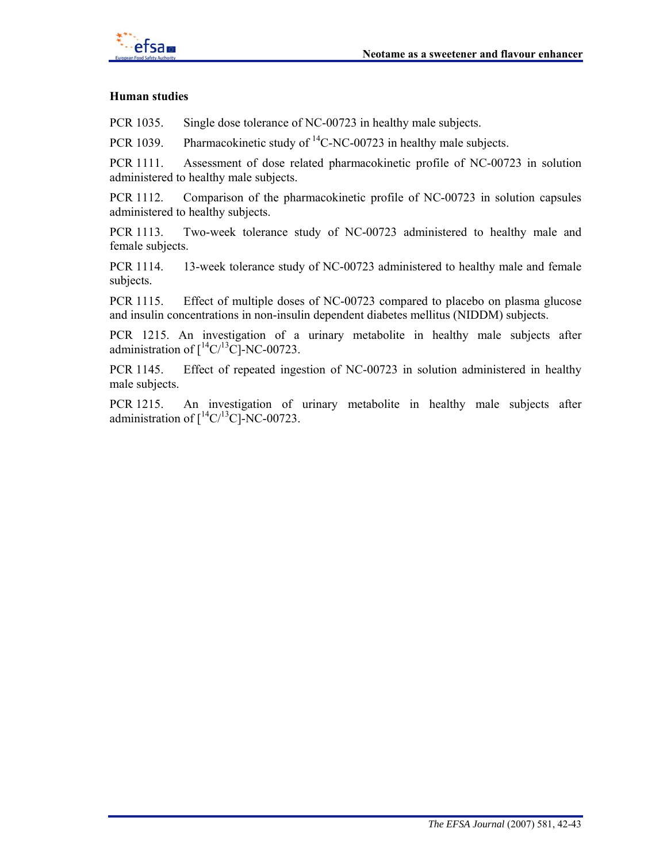

#### **Human studies**

PCR 1035. Single dose tolerance of NC-00723 in healthy male subjects.

PCR 1039. Pharmacokinetic study of  ${}^{14}$ C-NC-00723 in healthy male subjects.

PCR 1111. Assessment of dose related pharmacokinetic profile of NC-00723 in solution administered to healthy male subjects.

PCR 1112. Comparison of the pharmacokinetic profile of NC-00723 in solution capsules administered to healthy subjects.

PCR 1113. Two-week tolerance study of NC-00723 administered to healthy male and female subjects.

PCR 1114. 13-week tolerance study of NC-00723 administered to healthy male and female subjects.

PCR 1115. Effect of multiple doses of NC-00723 compared to placebo on plasma glucose and insulin concentrations in non-insulin dependent diabetes mellitus (NIDDM) subjects.

PCR 1215. An investigation of a urinary metabolite in healthy male subjects after administration of  $\int$ <sup>14</sup>C/<sup>13</sup>C]-NC-00723.

PCR 1145. Effect of repeated ingestion of NC-00723 in solution administered in healthy male subjects.

PCR 1215. An investigation of urinary metabolite in healthy male subjects after administration of  $\int$ <sup>14</sup>C/<sup>13</sup>C]-NC-00723.